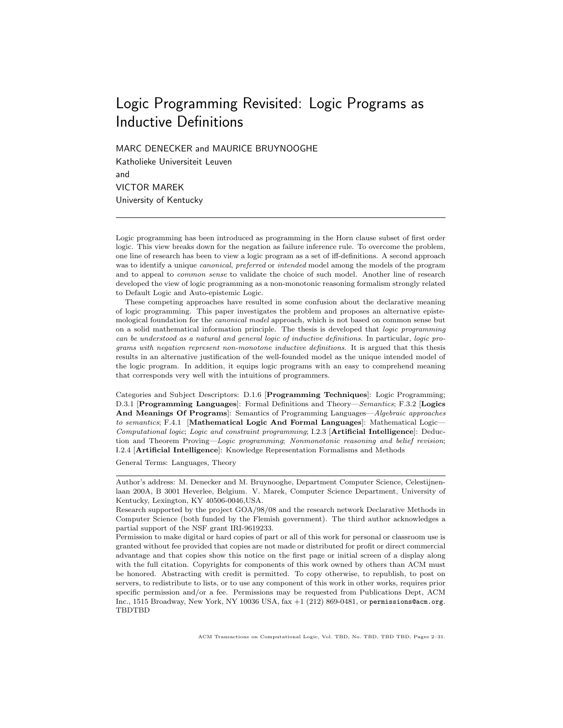# Logic Programming Revisited: Logic Programs as Inductive Definitions

MARC DENECKER and MAURICE BRUYNOOGHE

Katholieke Universiteit Leuven and VICTOR MAREK University of Kentucky

Logic programming has been introduced as programming in the Horn clause subset of first order logic. This view breaks down for the negation as failure inference rule. To overcome the problem, one line of research has been to view a logic program as a set of iff-definitions. A second approach was to identify a unique *canonical*, *preferred* or *intended* model among the models of the program and to appeal to common sense to validate the choice of such model. Another line of research developed the view of logic programming as a non-monotonic reasoning formalism strongly related to Default Logic and Auto-epistemic Logic.

These competing approaches have resulted in some confusion about the declarative meaning of logic programming. This paper investigates the problem and proposes an alternative epistemological foundation for the *canonical model* approach, which is not based on common sense but on a solid mathematical information principle. The thesis is developed that logic programming can be understood as a natural and general logic of inductive definitions. In particular, logic programs with negation represent non-monotone inductive definitions. It is argued that this thesis results in an alternative justification of the well-founded model as the unique intended model of the logic program. In addition, it equips logic programs with an easy to comprehend meaning that corresponds very well with the intuitions of programmers.

Categories and Subject Descriptors: D.1.6 [Programming Techniques]: Logic Programming; D.3.1 [Programming Languages]: Formal Definitions and Theory—Semantics; F.3.2 [Logics And Meanings Of Programs]: Semantics of Programming Languages—Algebraic approaches to semantics; F.4.1 [Mathematical Logic And Formal Languages]: Mathematical Logic-Computational logic; Logic and constraint programming; I.2.3 [Artificial Intelligence]: Deduction and Theorem Proving—Logic programming; Nonmonotonic reasoning and belief revision; I.2.4 [Artificial Intelligence]: Knowledge Representation Formalisms and Methods

General Terms: Languages, Theory

Author's address: M. Denecker and M. Bruynooghe, Department Computer Science, Celestijnenlaan 200A, B 3001 Heverlee, Belgium. V. Marek, Computer Science Department, University of Kentucky, Lexington, KY 40506-0046,USA.

Research supported by the project GOA/98/08 and the research network Declarative Methods in Computer Science (both funded by the Flemish government). The third author acknowledges a partial support of the NSF grant IRI-9619233.

Permission to make digital or hard copies of part or all of this work for personal or classroom use is granted without fee provided that copies are not made or distributed for profit or direct commercial advantage and that copies show this notice on the first page or initial screen of a display along with the full citation. Copyrights for components of this work owned by others than ACM must be honored. Abstracting with credit is permitted. To copy otherwise, to republish, to post on servers, to redistribute to lists, or to use any component of this work in other works, requires prior specific permission and/or a fee. Permissions may be requested from Publications Dept, ACM Inc., 1515 Broadway, New York, NY 10036 USA, fax +1 (212) 869-0481, or permissions@acm.org. TBDTBD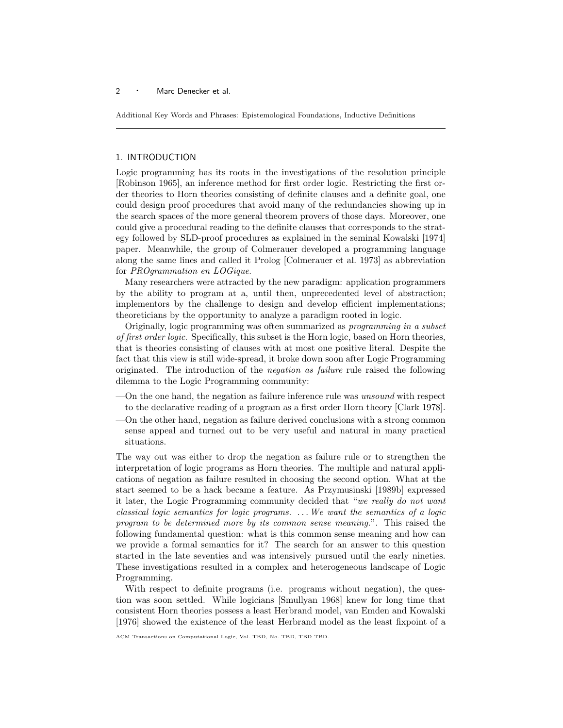Additional Key Words and Phrases: Epistemological Foundations, Inductive Definitions

## 1. INTRODUCTION

Logic programming has its roots in the investigations of the resolution principle [Robinson 1965], an inference method for first order logic. Restricting the first order theories to Horn theories consisting of definite clauses and a definite goal, one could design proof procedures that avoid many of the redundancies showing up in the search spaces of the more general theorem provers of those days. Moreover, one could give a procedural reading to the definite clauses that corresponds to the strategy followed by SLD-proof procedures as explained in the seminal Kowalski [1974] paper. Meanwhile, the group of Colmerauer developed a programming language along the same lines and called it Prolog [Colmerauer et al. 1973] as abbreviation for PROgrammation en LOGique.

Many researchers were attracted by the new paradigm: application programmers by the ability to program at a, until then, unprecedented level of abstraction; implementors by the challenge to design and develop efficient implementations; theoreticians by the opportunity to analyze a paradigm rooted in logic.

Originally, logic programming was often summarized as programming in a subset of first order logic. Specifically, this subset is the Horn logic, based on Horn theories, that is theories consisting of clauses with at most one positive literal. Despite the fact that this view is still wide-spread, it broke down soon after Logic Programming originated. The introduction of the negation as failure rule raised the following dilemma to the Logic Programming community:

- —On the one hand, the negation as failure inference rule was unsound with respect to the declarative reading of a program as a first order Horn theory [Clark 1978].
- —On the other hand, negation as failure derived conclusions with a strong common sense appeal and turned out to be very useful and natural in many practical situations.

The way out was either to drop the negation as failure rule or to strengthen the interpretation of logic programs as Horn theories. The multiple and natural applications of negation as failure resulted in choosing the second option. What at the start seemed to be a hack became a feature. As Przymusinski [1989b] expressed it later, the Logic Programming community decided that "we really do not want classical logic semantics for logic programs. . . .We want the semantics of a logic program to be determined more by its common sense meaning.". This raised the following fundamental question: what is this common sense meaning and how can we provide a formal semantics for it? The search for an answer to this question started in the late seventies and was intensively pursued until the early nineties. These investigations resulted in a complex and heterogeneous landscape of Logic Programming.

With respect to definite programs (i.e. programs without negation), the question was soon settled. While logicians [Smullyan 1968] knew for long time that consistent Horn theories possess a least Herbrand model, van Emden and Kowalski [1976] showed the existence of the least Herbrand model as the least fixpoint of a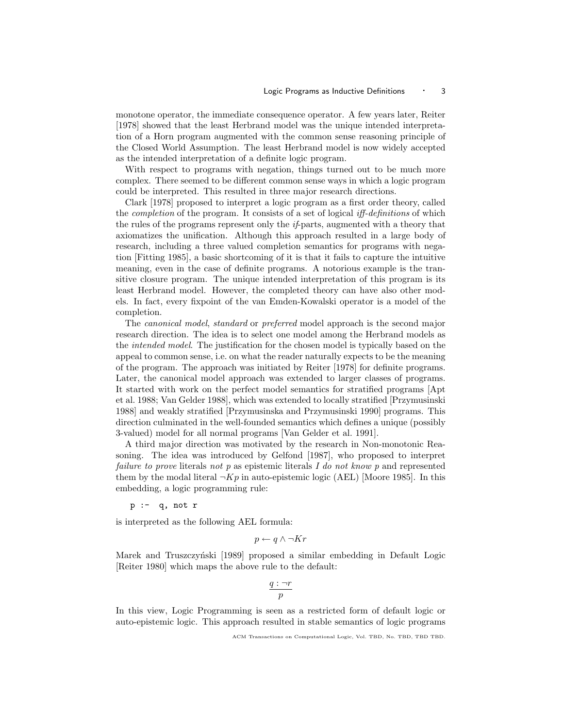monotone operator, the immediate consequence operator. A few years later, Reiter [1978] showed that the least Herbrand model was the unique intended interpretation of a Horn program augmented with the common sense reasoning principle of the Closed World Assumption. The least Herbrand model is now widely accepted as the intended interpretation of a definite logic program.

With respect to programs with negation, things turned out to be much more complex. There seemed to be different common sense ways in which a logic program could be interpreted. This resulted in three major research directions.

Clark [1978] proposed to interpret a logic program as a first order theory, called the *completion* of the program. It consists of a set of logical *iff-definitions* of which the rules of the programs represent only the if-parts, augmented with a theory that axiomatizes the unification. Although this approach resulted in a large body of research, including a three valued completion semantics for programs with negation [Fitting 1985], a basic shortcoming of it is that it fails to capture the intuitive meaning, even in the case of definite programs. A notorious example is the transitive closure program. The unique intended interpretation of this program is its least Herbrand model. However, the completed theory can have also other models. In fact, every fixpoint of the van Emden-Kowalski operator is a model of the completion.

The canonical model, standard or preferred model approach is the second major research direction. The idea is to select one model among the Herbrand models as the intended model. The justification for the chosen model is typically based on the appeal to common sense, i.e. on what the reader naturally expects to be the meaning of the program. The approach was initiated by Reiter [1978] for definite programs. Later, the canonical model approach was extended to larger classes of programs. It started with work on the perfect model semantics for stratified programs [Apt et al. 1988; Van Gelder 1988], which was extended to locally stratified [Przymusinski 1988] and weakly stratified [Przymusinska and Przymusinski 1990] programs. This direction culminated in the well-founded semantics which defines a unique (possibly 3-valued) model for all normal programs [Van Gelder et al. 1991].

A third major direction was motivated by the research in Non-monotonic Reasoning. The idea was introduced by Gelfond [1987], who proposed to interpret failure to prove literals not p as epistemic literals I do not know p and represented them by the modal literal  $\neg Kp$  in auto-epistemic logic (AEL) [Moore 1985]. In this embedding, a logic programming rule:

 $p := q, not r$ 

is interpreted as the following AEL formula:

$$
p \leftarrow q \land \neg Kr
$$

Marek and Truszczyński [1989] proposed a similar embedding in Default Logic [Reiter 1980] which maps the above rule to the default:

$$
\frac{q:\neg r}{p}
$$

In this view, Logic Programming is seen as a restricted form of default logic or auto-epistemic logic. This approach resulted in stable semantics of logic programs

ACM Transactions on Computational Logic, Vol. TBD, No. TBD, TBD TBD.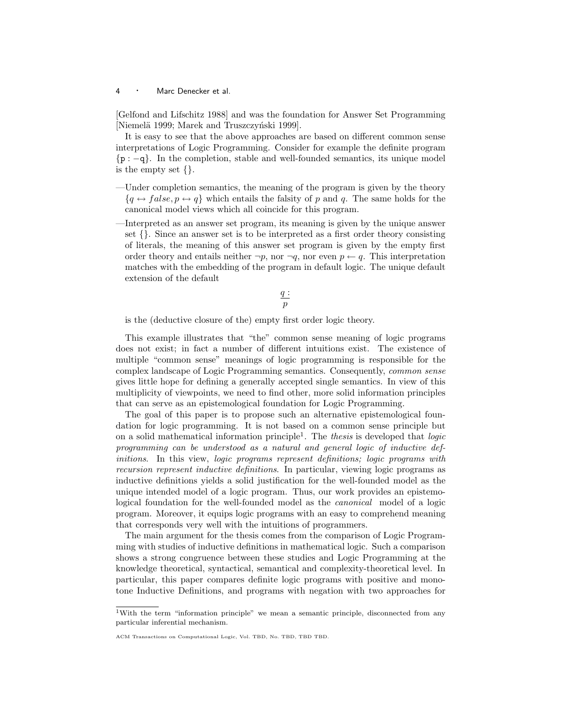[Gelfond and Lifschitz 1988] and was the foundation for Answer Set Programming [Niemelä 1999; Marek and Truszczyński 1999].

It is easy to see that the above approaches are based on different common sense interpretations of Logic Programming. Consider for example the definite program {p : −q}. In the completion, stable and well-founded semantics, its unique model is the empty set {}.

- —Under completion semantics, the meaning of the program is given by the theory  ${q \leftrightarrow false, p \leftrightarrow q}$  which entails the falsity of p and q. The same holds for the canonical model views which all coincide for this program.
- —Interpreted as an answer set program, its meaning is given by the unique answer set {}. Since an answer set is to be interpreted as a first order theory consisting of literals, the meaning of this answer set program is given by the empty first order theory and entails neither  $\neg p$ , nor  $\neg q$ , nor even  $p \leftarrow q$ . This interpretation matches with the embedding of the program in default logic. The unique default extension of the default

$$
\frac{q}{p}
$$

is the (deductive closure of the) empty first order logic theory.

This example illustrates that "the" common sense meaning of logic programs does not exist; in fact a number of different intuitions exist. The existence of multiple "common sense" meanings of logic programming is responsible for the complex landscape of Logic Programming semantics. Consequently, common sense gives little hope for defining a generally accepted single semantics. In view of this multiplicity of viewpoints, we need to find other, more solid information principles that can serve as an epistemological foundation for Logic Programming.

The goal of this paper is to propose such an alternative epistemological foundation for logic programming. It is not based on a common sense principle but on a solid mathematical information principle<sup>1</sup>. The *thesis* is developed that *logic* programming can be understood as a natural and general logic of inductive definitions. In this view, logic programs represent definitions; logic programs with recursion represent inductive definitions. In particular, viewing logic programs as inductive definitions yields a solid justification for the well-founded model as the unique intended model of a logic program. Thus, our work provides an epistemological foundation for the well-founded model as the canonical model of a logic program. Moreover, it equips logic programs with an easy to comprehend meaning that corresponds very well with the intuitions of programmers.

The main argument for the thesis comes from the comparison of Logic Programming with studies of inductive definitions in mathematical logic. Such a comparison shows a strong congruence between these studies and Logic Programming at the knowledge theoretical, syntactical, semantical and complexity-theoretical level. In particular, this paper compares definite logic programs with positive and monotone Inductive Definitions, and programs with negation with two approaches for

<sup>1</sup>With the term "information principle" we mean a semantic principle, disconnected from any particular inferential mechanism.

ACM Transactions on Computational Logic, Vol. TBD, No. TBD, TBD TBD.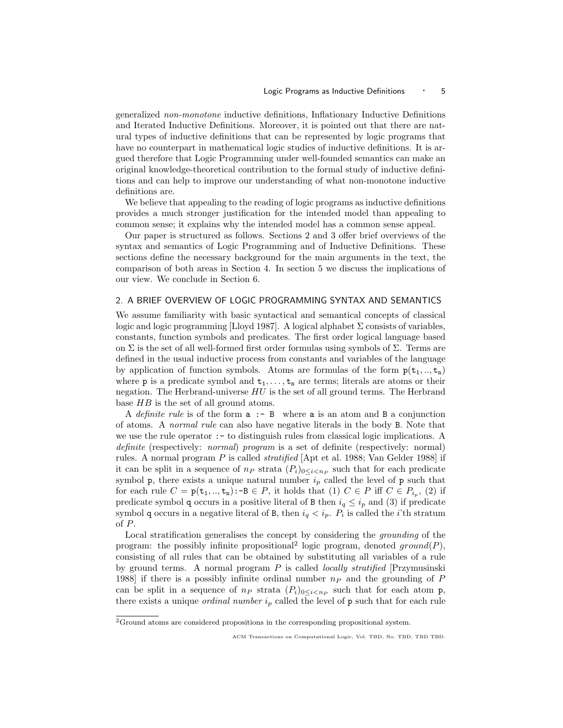generalized non-monotone inductive definitions, Inflationary Inductive Definitions and Iterated Inductive Definitions. Moreover, it is pointed out that there are natural types of inductive definitions that can be represented by logic programs that have no counterpart in mathematical logic studies of inductive definitions. It is argued therefore that Logic Programming under well-founded semantics can make an original knowledge-theoretical contribution to the formal study of inductive definitions and can help to improve our understanding of what non-monotone inductive definitions are.

We believe that appealing to the reading of logic programs as inductive definitions provides a much stronger justification for the intended model than appealing to common sense; it explains why the intended model has a common sense appeal.

Our paper is structured as follows. Sections 2 and 3 offer brief overviews of the syntax and semantics of Logic Programming and of Inductive Definitions. These sections define the necessary background for the main arguments in the text, the comparison of both areas in Section 4. In section 5 we discuss the implications of our view. We conclude in Section 6.

## 2. A BRIEF OVERVIEW OF LOGIC PROGRAMMING SYNTAX AND SEMANTICS

We assume familiarity with basic syntactical and semantical concepts of classical logic and logic programming [Lloyd 1987]. A logical alphabet  $\Sigma$  consists of variables, constants, function symbols and predicates. The first order logical language based on  $\Sigma$  is the set of all well-formed first order formulas using symbols of  $\Sigma$ . Terms are defined in the usual inductive process from constants and variables of the language by application of function symbols. Atoms are formulas of the form  $p(t_1, \ldots, t_n)$ where **p** is a predicate symbol and  $t_1, \ldots, t_n$  are terms; literals are atoms or their negation. The Herbrand-universe  $HU$  is the set of all ground terms. The Herbrand base HB is the set of all ground atoms.

A definite rule is of the form  $a : B$  where a is an atom and B a conjunction of atoms. A normal rule can also have negative literals in the body B. Note that we use the rule operator :- to distinguish rules from classical logic implications. A definite (respectively: *normal*) program is a set of definite (respectively: normal) rules. A normal program P is called *stratified*  $[Apt]$  et al. 1988; Van Gelder 1988 if it can be split in a sequence of  $n_P$  strata  $(P_i)_{0 \leq i \leq n_P}$  such that for each predicate symbol p, there exists a unique natural number  $i_p$  called the level of p such that for each rule  $C = \mathsf{p}(\mathsf{t}_1, \dots, \mathsf{t}_n)$ :-B $\in P$ , it holds that  $(1)$   $C \in P$  iff  $C \in P_{i_p}$ ,  $(2)$  if predicate symbol q occurs in a positive literal of B then  $i_q \leq i_p$  and (3) if predicate symbol q occurs in a negative literal of B, then  $i_q < i_p$ .  $P_i$  is called the *i*'th stratum of P.

Local stratification generalises the concept by considering the grounding of the program: the possibly infinite propositional<sup>2</sup> logic program, denoted ground(P), consisting of all rules that can be obtained by substituting all variables of a rule by ground terms. A normal program  $P$  is called *locally stratified* [Przymusinski 1988] if there is a possibly infinite ordinal number  $n_P$  and the grounding of P can be split in a sequence of  $n_P$  strata  $(P_i)_{0 \leq i \leq n_P}$  such that for each atom p, there exists a unique *ordinal number*  $i_p$  called the level of  $p$  such that for each rule

 ${}^{2}$ Ground atoms are considered propositions in the corresponding propositional system.

ACM Transactions on Computational Logic, Vol. TBD, No. TBD, TBD TBD.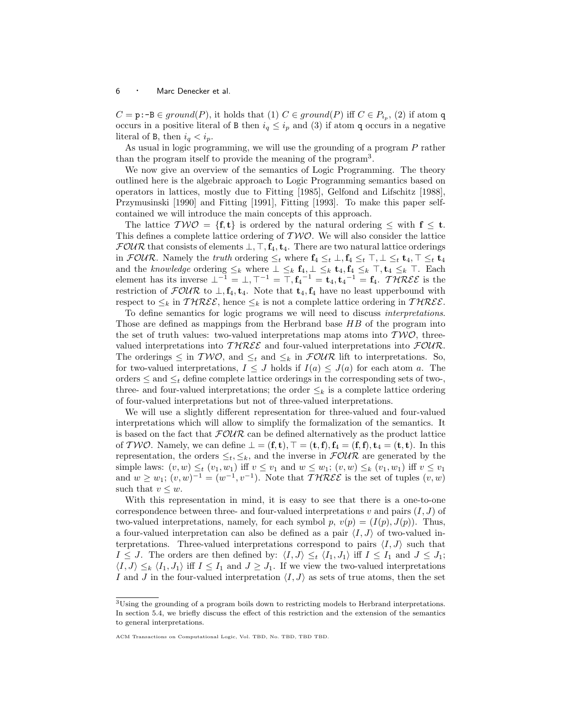$C = \text{p:-B} \in ground(P)$ , it holds that  $(1)$   $C \in ground(P)$  iff  $C \in P_{i_p}$ ,  $(2)$  if atom q occurs in a positive literal of B then  $i_q \leq i_p$  and (3) if atom q occurs in a negative literal of B, then  $i_q < i_p$ .

As usual in logic programming, we will use the grounding of a program P rather than the program itself to provide the meaning of the program<sup>3</sup>.

We now give an overview of the semantics of Logic Programming. The theory outlined here is the algebraic approach to Logic Programming semantics based on operators in lattices, mostly due to Fitting [1985], Gelfond and Lifschitz [1988], Przymusinski [1990] and Fitting [1991], Fitting [1993]. To make this paper selfcontained we will introduce the main concepts of this approach.

The lattice  $T W O = \{f, t\}$  is ordered by the natural ordering  $\leq$  with  $f \leq t$ . This defines a complete lattice ordering of  $T W O$ . We will also consider the lattice  $FOUR$  that consists of elements  $\bot$ ,  $\top$ ,  $f_4$ ,  $t_4$ . There are two natural lattice orderings in  $\mathcal{FOUR}$ . Namely the truth ordering  $\leq_t$  where  $\mathbf{f}_4 \leq_t \perp, \mathbf{f}_4 \leq_t \perp, \perp \leq_t \mathbf{t}_4, \perp \leq_t \mathbf{t}_4$ and the knowledge ordering  $\leq_k$  where  $\perp \leq_k$   $f_4$ ,  $\perp \leq_k$   $f_4$ ,  $f_4 \leq_k$   $\perp$ ,  $f_4 \leq_k$   $\perp$ . Each element has its inverse  $\perp^{-1} = \perp, \perp^{-1} = \perp, \uparrow^{-1} = \uparrow, \uparrow^{-1} = \uparrow, \downarrow^{-1} = \uparrow, \downarrow^{-1} = \uparrow, \downarrow \uparrow \uparrow \uparrow \mathcal{R} \mathcal{E} \mathcal{E}$  is the restriction of  $\mathcal{F}.\mathcal{O} \mathcal{U} \mathcal{R}$  to  $\perp$ ,  $f_4$ ,  $f_4$ . Note that  $t_4$ ,  $f_4$  have no least upperbound with respect to  $\leq_k$  in  $\mathcal{THREE}$ , hence  $\leq_k$  is not a complete lattice ordering in  $\mathcal{THREE}$ .

To define semantics for logic programs we will need to discuss interpretations. Those are defined as mappings from the Herbrand base HB of the program into the set of truth values: two-valued interpretations map atoms into  $T W O$ , threevalued interpretations into  $THREE$  and four-valued interpretations into  $FOUR$ . The orderings  $\leq$  in  $T W\mathcal{O}$ , and  $\leq_k$  and  $\leq_k$  in  $\mathcal{FOUR}$  lift to interpretations. So, for two-valued interpretations,  $I \leq J$  holds if  $I(a) \leq J(a)$  for each atom a. The orders  $\leq$  and  $\leq_t$  define complete lattice orderings in the corresponding sets of two-, three- and four-valued interpretations; the order  $\leq_k$  is a complete lattice ordering of four-valued interpretations but not of three-valued interpretations.

We will use a slightly different representation for three-valued and four-valued interpretations which will allow to simplify the formalization of the semantics. It is based on the fact that  $FOWR$  can be defined alternatively as the product lattice of TWO. Namely, we can define  $\bot = (\mathbf{f}, \mathbf{t}), \top = (\mathbf{t}, \mathbf{f}), \mathbf{f}_4 = (\mathbf{f}, \mathbf{f}), \mathbf{t}_4 = (\mathbf{t}, \mathbf{t}).$  In this representation, the orders  $\leq_t, \leq_k$ , and the inverse in  $\mathcal{FOUR}$  are generated by the simple laws:  $(v, w) \leq_t (v_1, w_1)$  iff  $v \leq v_1$  and  $w \leq w_1$ ;  $(v, w) \leq_k (v_1, w_1)$  iff  $v \leq v_1$ and  $w \geq w_1$ ;  $(v, w)^{-1} = (w^{-1}, v^{-1})$ . Note that  $\mathcal{THREE}$  is the set of tuples  $(v, w)$ such that  $v \leq w$ .

With this representation in mind, it is easy to see that there is a one-to-one correspondence between three- and four-valued interpretations  $v$  and pairs  $(I, J)$  of two-valued interpretations, namely, for each symbol p,  $v(p) = (I(p), J(p))$ . Thus, a four-valued interpretation can also be defined as a pair  $\langle I, J \rangle$  of two-valued interpretations. Three-valued interpretations correspond to pairs  $\langle I, J \rangle$  such that  $I \leq J$ . The orders are then defined by:  $\langle I,J \rangle \leq_t \langle I_1,J_1 \rangle$  iff  $I \leq I_1$  and  $J \leq J_1$ ;  $\langle I,J\rangle \leq_k \langle I_1,J_1\rangle$  iff  $I \leq I_1$  and  $J \geq J_1$ . If we view the two-valued interpretations I and J in the four-valued interpretation  $\langle I,J\rangle$  as sets of true atoms, then the set

<sup>&</sup>lt;sup>3</sup>Using the grounding of a program boils down to restricting models to Herbrand interpretations. In section 5.4, we briefly discuss the effect of this restriction and the extension of the semantics to general interpretations.

ACM Transactions on Computational Logic, Vol. TBD, No. TBD, TBD TBD.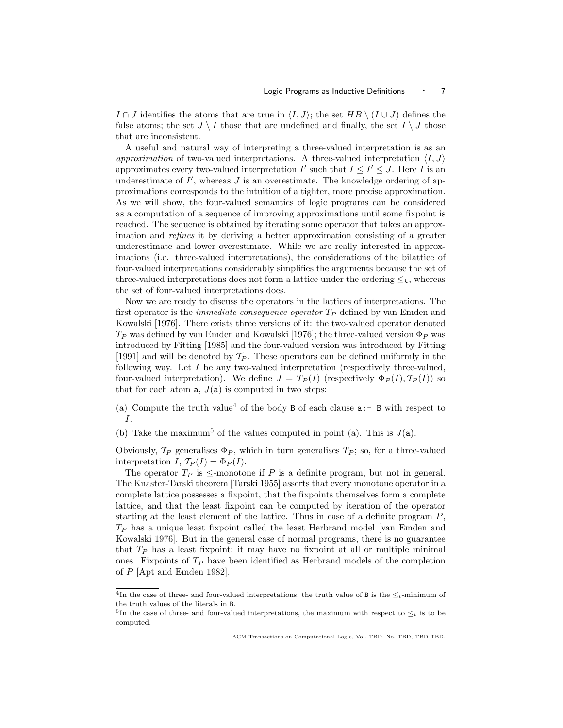I ∩ J identifies the atoms that are true in  $\langle I, J \rangle$ ; the set  $HB \setminus (I \cup J)$  defines the false atoms; the set  $J \setminus I$  those that are undefined and finally, the set  $I \setminus J$  those that are inconsistent.

A useful and natural way of interpreting a three-valued interpretation is as an approximation of two-valued interpretations. A three-valued interpretation  $\langle I, J \rangle$ approximates every two-valued interpretation  $I'$  such that  $I \leq I' \leq J$ . Here I is an underestimate of  $I'$ , whereas  $J$  is an overestimate. The knowledge ordering of approximations corresponds to the intuition of a tighter, more precise approximation. As we will show, the four-valued semantics of logic programs can be considered as a computation of a sequence of improving approximations until some fixpoint is reached. The sequence is obtained by iterating some operator that takes an approximation and refines it by deriving a better approximation consisting of a greater underestimate and lower overestimate. While we are really interested in approximations (i.e. three-valued interpretations), the considerations of the bilattice of four-valued interpretations considerably simplifies the arguments because the set of three-valued interpretations does not form a lattice under the ordering  $\leq_k$ , whereas the set of four-valued interpretations does.

Now we are ready to discuss the operators in the lattices of interpretations. The first operator is the *immediate consequence operator*  $T_P$  defined by van Emden and Kowalski [1976]. There exists three versions of it: the two-valued operator denoted  $T_P$  was defined by van Emden and Kowalski [1976]; the three-valued version  $\Phi_P$  was introduced by Fitting [1985] and the four-valued version was introduced by Fitting [1991] and will be denoted by  $\mathcal{T}_P$ . These operators can be defined uniformly in the following way. Let  $I$  be any two-valued interpretation (respectively three-valued, four-valued interpretation). We define  $J = T_P(I)$  (respectively  $\Phi_P(I), T_P(I)$ ) so that for each atom  $a, J(a)$  is computed in two steps:

(a) Compute the truth value<sup>4</sup> of the body B of each clause  $a:-$  B with respect to I.

(b) Take the maximum<sup>5</sup> of the values computed in point (a). This is  $J(\mathbf{a})$ .

Obviously,  $\mathcal{T}_P$  generalises  $\Phi_P$ , which in turn generalises  $T_P$ ; so, for a three-valued interpretation I,  $\mathcal{T}_P(I) = \Phi_P(I)$ .

The operator  $T_P$  is  $\leq$ -monotone if P is a definite program, but not in general. The Knaster-Tarski theorem [Tarski 1955] asserts that every monotone operator in a complete lattice possesses a fixpoint, that the fixpoints themselves form a complete lattice, and that the least fixpoint can be computed by iteration of the operator starting at the least element of the lattice. Thus in case of a definite program P,  $T_P$  has a unique least fixpoint called the least Herbrand model [van Emden and Kowalski 1976]. But in the general case of normal programs, there is no guarantee that  $T_P$  has a least fixpoint; it may have no fixpoint at all or multiple minimal ones. Fixpoints of  $T_P$  have been identified as Herbrand models of the completion of P [Apt and Emden 1982].

<sup>&</sup>lt;sup>4</sup>In the case of three- and four-valued interpretations, the truth value of B is the  $\leq_t$ -minimum of the truth values of the literals in B.

<sup>&</sup>lt;sup>5</sup>In the case of three- and four-valued interpretations, the maximum with respect to  $\leq_t$  is to be computed.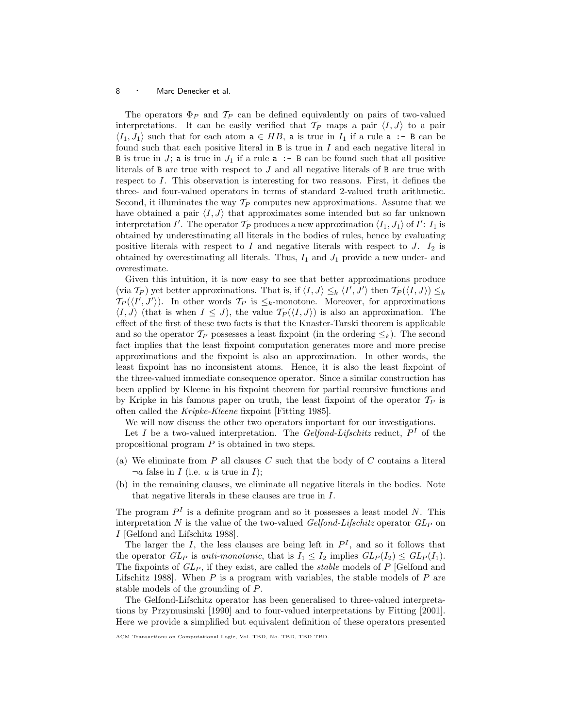The operators  $\Phi_P$  and  $\mathcal{T}_P$  can be defined equivalently on pairs of two-valued interpretations. It can be easily verified that  $\mathcal{T}_P$  maps a pair  $\langle I, J \rangle$  to a pair  $\langle I_1,J_1\rangle$  such that for each atom  $a \in HB$ , a is true in  $I_1$  if a rule  $a$  :- B can be found such that each positive literal in  $B$  is true in  $I$  and each negative literal in B is true in  $J_1$  is true in  $J_1$  if a rule  $a \rightharpoonup b$  can be found such that all positive literals of B are true with respect to J and all negative literals of B are true with respect to I. This observation is interesting for two reasons. First, it defines the three- and four-valued operators in terms of standard 2-valued truth arithmetic. Second, it illuminates the way  $T_P$  computes new approximations. Assume that we have obtained a pair  $\langle I, J \rangle$  that approximates some intended but so far unknown interpretation I'. The operator  $\mathcal{T}_P$  produces a new approximation  $\langle I_1,J_1\rangle$  of I':  $I_1$  is obtained by underestimating all literals in the bodies of rules, hence by evaluating positive literals with respect to  $I$  and negative literals with respect to  $J$ .  $I_2$  is obtained by overestimating all literals. Thus,  $I_1$  and  $J_1$  provide a new under- and overestimate.

Given this intuition, it is now easy to see that better approximations produce (via  $T_P$ ) yet better approximations. That is, if  $\langle I, J \rangle \leq_k \langle I', J' \rangle$  then  $T_P(\langle I, J \rangle) \leq_k I$  $T_P(\langle I', J' \rangle)$ . In other words  $T_P$  is  $\leq_k$ -monotone. Moreover, for approximations  $\langle I,J\rangle$  (that is when  $I \leq J$ ), the value  $\mathcal{T}_P(\langle I,J\rangle)$  is also an approximation. The effect of the first of these two facts is that the Knaster-Tarski theorem is applicable and so the operator  $\mathcal{T}_P$  possesses a least fixpoint (in the ordering  $\leq_k$ ). The second fact implies that the least fixpoint computation generates more and more precise approximations and the fixpoint is also an approximation. In other words, the least fixpoint has no inconsistent atoms. Hence, it is also the least fixpoint of the three-valued immediate consequence operator. Since a similar construction has been applied by Kleene in his fixpoint theorem for partial recursive functions and by Kripke in his famous paper on truth, the least fixpoint of the operator  $\mathcal{T}_P$  is often called the Kripke-Kleene fixpoint [Fitting 1985].

We will now discuss the other two operators important for our investigations.

Let I be a two-valued interpretation. The Gelfond-Lifschitz reduct,  $P<sup>I</sup>$  of the propositional program P is obtained in two steps.

- (a) We eliminate from  $P$  all clauses  $C$  such that the body of  $C$  contains a literal  $\neg a$  false in *I* (i.e. *a* is true in *I*);
- (b) in the remaining clauses, we eliminate all negative literals in the bodies. Note that negative literals in these clauses are true in I.

The program  $P<sup>I</sup>$  is a definite program and so it possesses a least model N. This interpretation N is the value of the two-valued  $Gelfond-Lifschitz$  operator  $GL_P$  on I [Gelfond and Lifschitz 1988].

The larger the I, the less clauses are being left in  $P<sup>I</sup>$ , and so it follows that the operator  $GL_P$  is anti-monotonic, that is  $I_1 \leq I_2$  implies  $GL_P(I_2) \leq GL_P(I_1)$ . The fixpoints of  $GL_P$ , if they exist, are called the *stable* models of P [Gelfond and Lifschitz 1988. When  $P$  is a program with variables, the stable models of  $P$  are stable models of the grounding of P.

The Gelfond-Lifschitz operator has been generalised to three-valued interpretations by Przymusinski [1990] and to four-valued interpretations by Fitting [2001]. Here we provide a simplified but equivalent definition of these operators presented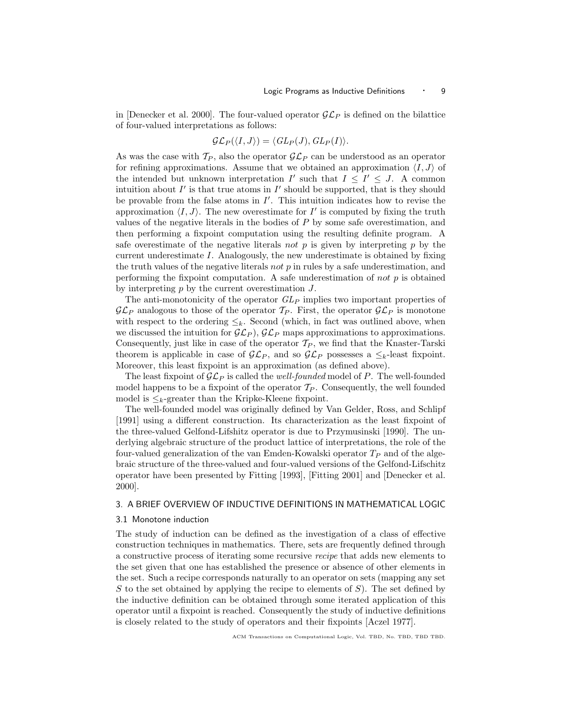in [Denecker et al. 2000]. The four-valued operator  $\mathcal{GL}_P$  is defined on the bilattice of four-valued interpretations as follows:

$$
\mathcal{GL}_P(\langle I,J\rangle)=\langle GL_P(J),GL_P(I)\rangle.
$$

As was the case with  $T_P$ , also the operator  $\mathcal{GL}_P$  can be understood as an operator for refining approximations. Assume that we obtained an approximation  $\langle I,J \rangle$  of the intended but unknown interpretation  $I'$  such that  $I \leq I' \leq J$ . A common intuition about  $I'$  is that true atoms in  $I'$  should be supported, that is they should be provable from the false atoms in  $I'$ . This intuition indicates how to revise the approximation  $\langle I, J \rangle$ . The new overestimate for I' is computed by fixing the truth values of the negative literals in the bodies of  $P$  by some safe overestimation, and then performing a fixpoint computation using the resulting definite program. A safe overestimate of the negative literals not p is given by interpreting p by the current underestimate I. Analogously, the new underestimate is obtained by fixing the truth values of the negative literals not  $p$  in rules by a safe underestimation, and performing the fixpoint computation. A safe underestimation of not  $p$  is obtained by interpreting  $p$  by the current overestimation  $J$ .

The anti-monotonicity of the operator  $GL_P$  implies two important properties of  $\mathcal{GL}_P$  analogous to those of the operator  $\mathcal{T}_P$ . First, the operator  $\mathcal{GL}_P$  is monotone with respect to the ordering  $\leq_k$ . Second (which, in fact was outlined above, when we discussed the intuition for  $\mathcal{GL}_P$ ,  $\mathcal{GL}_P$  maps approximations to approximations. Consequently, just like in case of the operator  $\mathcal{T}_P$ , we find that the Knaster-Tarski theorem is applicable in case of  $\mathcal{GL}_P$ , and so  $\mathcal{GL}_P$  possesses a  $\leq_k$ -least fixpoint. Moreover, this least fixpoint is an approximation (as defined above).

The least fixpoint of  $\mathcal{GL}_P$  is called the *well-founded* model of P. The well-founded model happens to be a fixpoint of the operator  $\mathcal{T}_P$ . Consequently, the well founded model is  $\leq_k$ -greater than the Kripke-Kleene fixpoint.

The well-founded model was originally defined by Van Gelder, Ross, and Schlipf [1991] using a different construction. Its characterization as the least fixpoint of the three-valued Gelfond-Lifshitz operator is due to Przymusinski [1990]. The underlying algebraic structure of the product lattice of interpretations, the role of the four-valued generalization of the van Emden-Kowalski operator  $T_P$  and of the algebraic structure of the three-valued and four-valued versions of the Gelfond-Lifschitz operator have been presented by Fitting [1993], [Fitting 2001] and [Denecker et al. 2000].

## 3. A BRIEF OVERVIEW OF INDUCTIVE DEFINITIONS IN MATHEMATICAL LOGIC

## 3.1 Monotone induction

The study of induction can be defined as the investigation of a class of effective construction techniques in mathematics. There, sets are frequently defined through a constructive process of iterating some recursive recipe that adds new elements to the set given that one has established the presence or absence of other elements in the set. Such a recipe corresponds naturally to an operator on sets (mapping any set S to the set obtained by applying the recipe to elements of  $S$ ). The set defined by the inductive definition can be obtained through some iterated application of this operator until a fixpoint is reached. Consequently the study of inductive definitions is closely related to the study of operators and their fixpoints [Aczel 1977].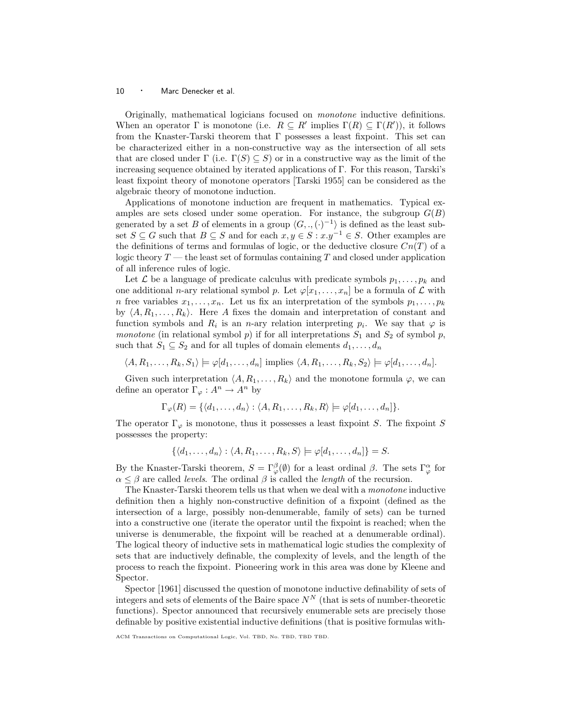Originally, mathematical logicians focused on monotone inductive definitions. When an operator  $\Gamma$  is monotone (i.e.  $R \subseteq R'$  implies  $\Gamma(R) \subseteq \Gamma(R')$ ), it follows from the Knaster-Tarski theorem that Γ possesses a least fixpoint. This set can be characterized either in a non-constructive way as the intersection of all sets that are closed under  $\Gamma$  (i.e.  $\Gamma(S) \subseteq S$ ) or in a constructive way as the limit of the increasing sequence obtained by iterated applications of Γ. For this reason, Tarski's least fixpoint theory of monotone operators [Tarski 1955] can be considered as the algebraic theory of monotone induction.

Applications of monotone induction are frequent in mathematics. Typical examples are sets closed under some operation. For instance, the subgroup  $G(B)$ generated by a set B of elements in a group  $\langle G, ., (.)^{-1} \rangle$  is defined as the least subset  $S \subseteq G$  such that  $B \subseteq S$  and for each  $x, y \in S : x.y^{-1} \in S$ . Other examples are the definitions of terms and formulas of logic, or the deductive closure  $Cn(T)$  of a logic theory  $T$  — the least set of formulas containing  $T$  and closed under application of all inference rules of logic.

Let  $\mathcal L$  be a language of predicate calculus with predicate symbols  $p_1,\ldots,p_k$  and one additional n-ary relational symbol p. Let  $\varphi[x_1,\ldots,x_n]$  be a formula of  $\mathcal L$  with n free variables  $x_1, \ldots, x_n$ . Let us fix an interpretation of the symbols  $p_1, \ldots, p_k$ by  $\langle A, R_1, \ldots, R_k \rangle$ . Here A fixes the domain and interpretation of constant and function symbols and  $R_i$  is an *n*-ary relation interpreting  $p_i$ . We say that  $\varphi$  is monotone (in relational symbol  $p$ ) if for all interpretations  $S_1$  and  $S_2$  of symbol  $p$ , such that  $S_1 \subseteq S_2$  and for all tuples of domain elements  $d_1, \ldots, d_n$ 

$$
\langle A, R_1, \ldots, R_k, S_1 \rangle \models \varphi[d_1, \ldots, d_n] \text{ implies } \langle A, R_1, \ldots, R_k, S_2 \rangle \models \varphi[d_1, \ldots, d_n].
$$

Given such interpretation  $\langle A, R_1, \ldots, R_k \rangle$  and the monotone formula  $\varphi$ , we can define an operator  $\Gamma_{\varphi}: A^n \to A^n$  by

$$
\Gamma_{\varphi}(R) = \{ \langle d_1, \ldots, d_n \rangle : \langle A, R_1, \ldots, R_k, R \rangle \models \varphi[d_1, \ldots, d_n] \}.
$$

The operator  $\Gamma_{\varphi}$  is monotone, thus it possesses a least fixpoint S. The fixpoint S possesses the property:

$$
\{\langle d_1,\ldots,d_n\rangle:\langle A,R_1,\ldots,R_k,S\rangle\models\varphi[d_1,\ldots,d_n]\}=S.
$$

By the Knaster-Tarski theorem,  $S = \Gamma^{\beta}_{\varphi}(\emptyset)$  for a least ordinal  $\beta$ . The sets  $\Gamma^{\alpha}_{\varphi}$  for  $\alpha \leq \beta$  are called *levels*. The ordinal  $\beta$  is called the *length* of the recursion.

The Knaster-Tarski theorem tells us that when we deal with a monotone inductive definition then a highly non-constructive definition of a fixpoint (defined as the intersection of a large, possibly non-denumerable, family of sets) can be turned into a constructive one (iterate the operator until the fixpoint is reached; when the universe is denumerable, the fixpoint will be reached at a denumerable ordinal). The logical theory of inductive sets in mathematical logic studies the complexity of sets that are inductively definable, the complexity of levels, and the length of the process to reach the fixpoint. Pioneering work in this area was done by Kleene and Spector.

Spector [1961] discussed the question of monotone inductive definability of sets of integers and sets of elements of the Baire space  $N^N$  (that is sets of number-theoretic functions). Spector announced that recursively enumerable sets are precisely those definable by positive existential inductive definitions (that is positive formulas with-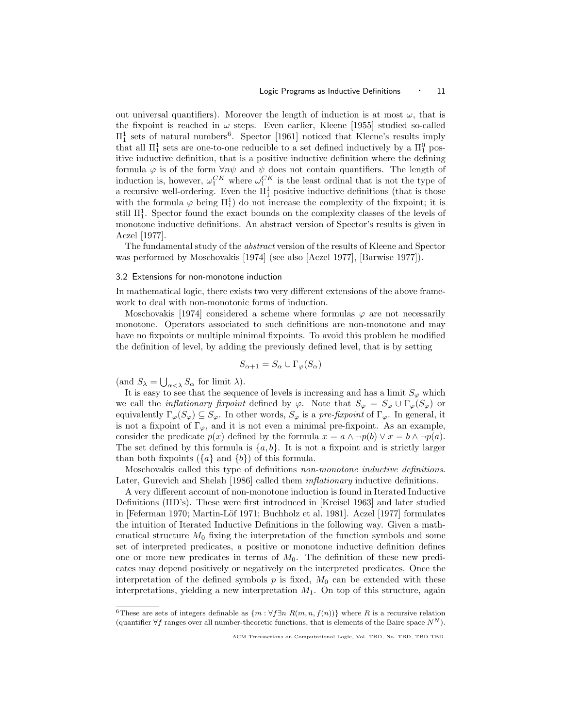out universal quantifiers). Moreover the length of induction is at most  $\omega$ , that is the fixpoint is reached in  $\omega$  steps. Even earlier, Kleene [1955] studied so-called  $\Pi_1^1$  sets of natural numbers<sup>6</sup>. Spector [1961] noticed that Kleene's results imply that all  $\Pi_1^1$  sets are one-to-one reducible to a set defined inductively by a  $\Pi_1^0$  positive inductive definition, that is a positive inductive definition where the defining formula  $\varphi$  is of the form  $\forall n\psi$  and  $\psi$  does not contain quantifiers. The length of induction is, however,  $\omega_1^{CK}$  where  $\omega_1^{CK}$  is the least ordinal that is not the type of a recursive well-ordering. Even the  $\Pi_1^1$  positive inductive definitions (that is those with the formula  $\varphi$  being  $\Pi_1^1$  do not increase the complexity of the fixpoint; it is still  $\Pi_1^1$ . Spector found the exact bounds on the complexity classes of the levels of monotone inductive definitions. An abstract version of Spector's results is given in Aczel [1977].

The fundamental study of the abstract version of the results of Kleene and Spector was performed by Moschovakis [1974] (see also [Aczel 1977], [Barwise 1977]).

## 3.2 Extensions for non-monotone induction

In mathematical logic, there exists two very different extensions of the above framework to deal with non-monotonic forms of induction.

Moschovakis [1974] considered a scheme where formulas  $\varphi$  are not necessarily monotone. Operators associated to such definitions are non-monotone and may have no fixpoints or multiple minimal fixpoints. To avoid this problem he modified the definition of level, by adding the previously defined level, that is by setting

$$
S_{\alpha+1} = S_{\alpha} \cup \Gamma_{\varphi}(S_{\alpha})
$$

(and  $S_{\lambda} = \bigcup_{\alpha < \lambda} S_{\alpha}$  for limit  $\lambda$ ).

It is easy to see that the sequence of levels is increasing and has a limit  $S_{\varphi}$  which we call the *inflationary fixpoint* defined by  $\varphi$ . Note that  $S_{\varphi} = S_{\varphi} \cup \Gamma_{\varphi}(S_{\varphi})$  or equivalently  $\Gamma_{\varphi}(S_{\varphi}) \subseteq S_{\varphi}$ . In other words,  $S_{\varphi}$  is a pre-fixpoint of  $\Gamma_{\varphi}$ . In general, it is not a fixpoint of  $\Gamma_{\varphi}$ , and it is not even a minimal pre-fixpoint. As an example, consider the predicate  $p(x)$  defined by the formula  $x = a \land \neg p(b) \lor x = b \land \neg p(a)$ . The set defined by this formula is  $\{a, b\}$ . It is not a fixpoint and is strictly larger than both fixpoints  $({a} \text{ and } {b})$  of this formula.

Moschovakis called this type of definitions non-monotone inductive definitions. Later, Gurevich and Shelah [1986] called them *inflationary* inductive definitions.

A very different account of non-monotone induction is found in Iterated Inductive Definitions (IID's). These were first introduced in [Kreisel 1963] and later studied in [Feferman 1970; Martin-Löf 1971; Buchholz et al. 1981]. Aczel [1977] formulates the intuition of Iterated Inductive Definitions in the following way. Given a mathematical structure  $M_0$  fixing the interpretation of the function symbols and some set of interpreted predicates, a positive or monotone inductive definition defines one or more new predicates in terms of  $M_0$ . The definition of these new predicates may depend positively or negatively on the interpreted predicates. Once the interpretation of the defined symbols p is fixed,  $M_0$  can be extended with these interpretations, yielding a new interpretation  $M_1$ . On top of this structure, again

<sup>&</sup>lt;sup>6</sup>These are sets of integers definable as  $\{m : \forall f\exists n \ R(m,n,f(n))\}$  where R is a recursive relation (quantifier  $\forall f$  ranges over all number-theoretic functions, that is elements of the Baire space  $N^N$ ).

ACM Transactions on Computational Logic, Vol. TBD, No. TBD, TBD TBD.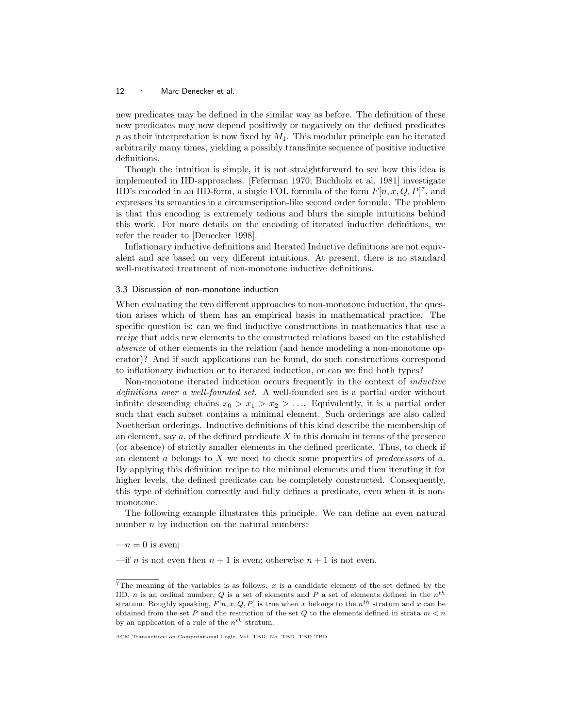new predicates may be defined in the similar way as before. The definition of these new predicates may now depend positively or negatively on the defined predicates  $p$  as their interpretation is now fixed by  $M_1$ . This modular principle can be iterated arbitrarily many times, yielding a possibly transfinite sequence of positive inductive definitions.

Though the intuition is simple, it is not straightforward to see how this idea is implemented in IID-approaches. [Feferman 1970; Buchholz et al. 1981] investigate IID's encoded in an IID-form, a single FOL formula of the form  $F[n, x, Q, P]^7$ , and expresses its semantics in a circumscription-like second order formula. The problem is that this encoding is extremely tedious and blurs the simple intuitions behind this work. For more details on the encoding of iterated inductive definitions, we refer the reader to [Denecker 1998].

Inflationary inductive definitions and Iterated Inductive definitions are not equivalent and are based on very different intuitions. At present, there is no standard well-motivated treatment of non-monotone inductive definitions.

## 3.3 Discussion of non-monotone induction

When evaluating the two different approaches to non-monotone induction, the question arises which of them has an empirical basis in mathematical practice. The specific question is: can we find inductive constructions in mathematics that use a recipe that adds new elements to the constructed relations based on the established absence of other elements in the relation (and hence modeling a non-monotone operator)? And if such applications can be found, do such constructions correspond to inflationary induction or to iterated induction, or can we find both types?

Non-monotone iterated induction occurs frequently in the context of inductive definitions over a well-founded set. A well-founded set is a partial order without infinite descending chains  $x_0 > x_1 > x_2 > \ldots$  Equivalently, it is a partial order such that each subset contains a minimal element. Such orderings are also called Noetherian orderings. Inductive definitions of this kind describe the membership of an element, say  $a$ , of the defined predicate  $X$  in this domain in terms of the presence (or absence) of strictly smaller elements in the defined predicate. Thus, to check if an element  $\alpha$  belongs to  $X$  we need to check some properties of predecessors of  $\alpha$ . By applying this definition recipe to the minimal elements and then iterating it for higher levels, the defined predicate can be completely constructed. Consequently, this type of definition correctly and fully defines a predicate, even when it is nonmonotone.

The following example illustrates this principle. We can define an even natural number  $n$  by induction on the natural numbers:

 $-n=0$  is even;

—if *n* is not even then  $n + 1$  is even; otherwise  $n + 1$  is not even.

<sup>&</sup>lt;sup>7</sup>The meaning of the variables is as follows:  $x$  is a candidate element of the set defined by the IID, *n* is an ordinal number, *Q* is a set of elements and *P* a set of elements defined in the  $n^{th}$ stratum. Roughly speaking,  $F[n, x, Q, P]$  is true when x belongs to the  $n^{th}$  stratum and x can be obtained from the set P and the restriction of the set Q to the elements defined in strata  $m < n$ by an application of a rule of the  $n^{th}$  stratum.

ACM Transactions on Computational Logic, Vol. TBD, No. TBD, TBD TBD.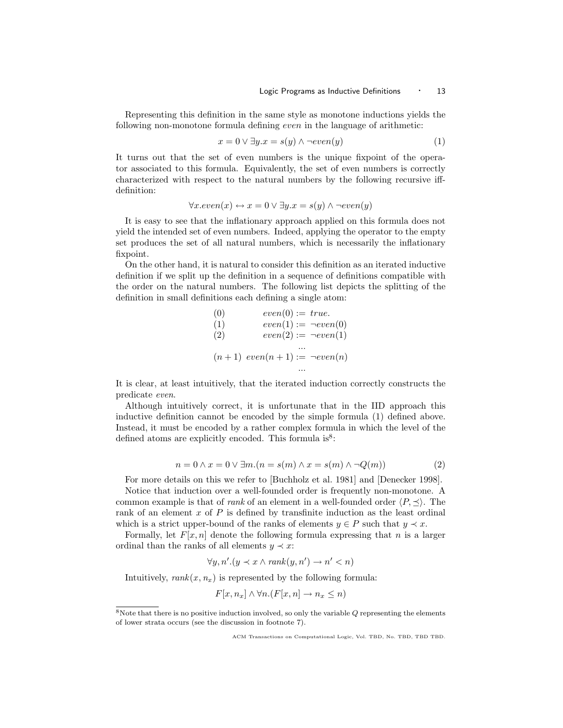Representing this definition in the same style as monotone inductions yields the following non-monotone formula defining even in the language of arithmetic:

$$
x = 0 \lor \exists y . x = s(y) \land \neg even(y) \tag{1}
$$

It turns out that the set of even numbers is the unique fixpoint of the operator associated to this formula. Equivalently, the set of even numbers is correctly characterized with respect to the natural numbers by the following recursive iffdefinition:

$$
\forall x. even(x) \leftrightarrow x = 0 \lor \exists y. x = s(y) \land \neg even(y)
$$

It is easy to see that the inflationary approach applied on this formula does not yield the intended set of even numbers. Indeed, applying the operator to the empty set produces the set of all natural numbers, which is necessarily the inflationary fixpoint.

On the other hand, it is natural to consider this definition as an iterated inductive definition if we split up the definition in a sequence of definitions compatible with the order on the natural numbers. The following list depicts the splitting of the definition in small definitions each defining a single atom:

(0) 
$$
even(0) := true.
$$
  
\n(1)  $even(1) := -even(0)$   
\n(2)  $even(2) := -even(1)$   
\n $\dots$   
\n(n+1)  $even(n+1) := -even(n)$   
\n...

It is clear, at least intuitively, that the iterated induction correctly constructs the predicate even.

Although intuitively correct, it is unfortunate that in the IID approach this inductive definition cannot be encoded by the simple formula (1) defined above. Instead, it must be encoded by a rather complex formula in which the level of the defined atoms are explicitly encoded. This formula  $is^8$ :

$$
n = 0 \land x = 0 \lor \exists m.(n = s(m) \land x = s(m) \land \neg Q(m))
$$
\n(2)

For more details on this we refer to [Buchholz et al. 1981] and [Denecker 1998].

Notice that induction over a well-founded order is frequently non-monotone. A common example is that of *rank* of an element in a well-founded order  $\langle P, \prec \rangle$ . The rank of an element  $x$  of  $P$  is defined by transfinite induction as the least ordinal which is a strict upper-bound of the ranks of elements  $y \in P$  such that  $y \prec x$ .

Formally, let  $F[x,n]$  denote the following formula expressing that n is a larger ordinal than the ranks of all elements  $y \prec x$ :

$$
\forall y, n'. (y \prec x \land \text{rank}(y, n') \rightarrow n' < n)
$$

Intuitively,  $rank(x, n_x)$  is represented by the following formula:

$$
F[x, n_x] \wedge \forall n. (F[x, n] \rightarrow n_x \le n)
$$

 $8$ Note that there is no positive induction involved, so only the variable  $Q$  representing the elements of lower strata occurs (see the discussion in footnote 7).

ACM Transactions on Computational Logic, Vol. TBD, No. TBD, TBD TBD.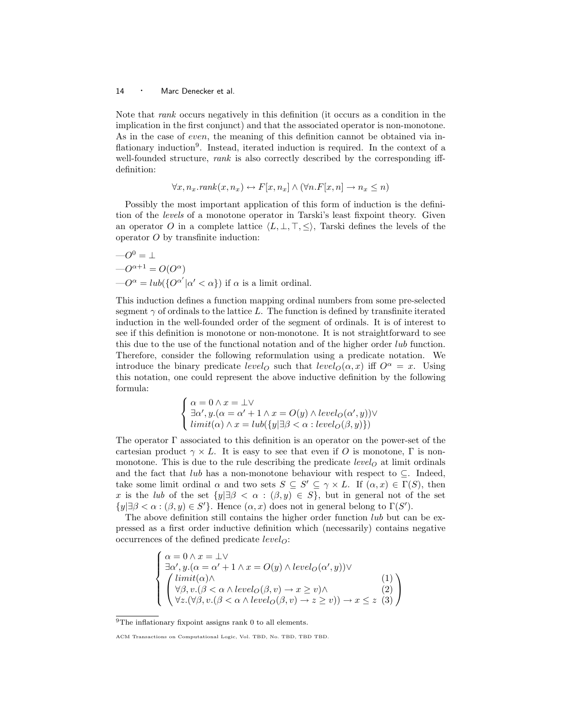Note that rank occurs negatively in this definition (it occurs as a condition in the implication in the first conjunct) and that the associated operator is non-monotone. As in the case of even, the meaning of this definition cannot be obtained via inflationary induction<sup>9</sup>. Instead, iterated induction is required. In the context of a well-founded structure, rank is also correctly described by the corresponding iffdefinition:

$$
\forall x, n_x. rank(x, n_x) \leftrightarrow F[x, n_x] \land (\forall n.F[x, n] \rightarrow n_x \le n)
$$

Possibly the most important application of this form of induction is the definition of the levels of a monotone operator in Tarski's least fixpoint theory. Given an operator O in a complete lattice  $\langle L, \perp, \perp, \leq \rangle$ , Tarski defines the levels of the operator  $O$  by transfinite induction:

$$
-O^0 = \perp
$$
  
\n
$$
-O^{\alpha+1} = O(O^{\alpha})
$$
  
\n
$$
-O^{\alpha} = lub({O^{\alpha'}}|\alpha' < \alpha})
$$
 if  $\alpha$  is a limit ordinal.

This induction defines a function mapping ordinal numbers from some pre-selected segment  $\gamma$  of ordinals to the lattice L. The function is defined by transfinite iterated induction in the well-founded order of the segment of ordinals. It is of interest to see if this definition is monotone or non-monotone. It is not straightforward to see this due to the use of the functional notation and of the higher order lub function. Therefore, consider the following reformulation using a predicate notation. We introduce the binary predicate level<sub>O</sub> such that level<sub>O</sub> $(\alpha, x)$  iff  $O^{\alpha} = x$ . Using this notation, one could represent the above inductive definition by the following formula:

$$
\begin{cases} \alpha = 0 \land x = \bot \lor \\ \exists \alpha', y.(\alpha = \alpha' + 1 \land x = O(y) \land level_O(\alpha', y)) \lor \\ limit(\alpha) \land x = lub(\{y | \exists \beta < \alpha : level_O(\beta, y)\}) \end{cases}
$$

The operator Γ associated to this definition is an operator on the power-set of the cartesian product  $\gamma \times L$ . It is easy to see that even if O is monotone,  $\Gamma$  is nonmonotone. This is due to the rule describing the predicate *level*<sub> $o$ </sub> at limit ordinals and the fact that lub has a non-monotone behaviour with respect to  $\subseteq$ . Indeed, take some limit ordinal  $\alpha$  and two sets  $S \subseteq S' \subseteq \gamma \times L$ . If  $(\alpha, x) \in \Gamma(S)$ , then x is the lub of the set  $\{y|\exists \beta < \alpha : (\beta, y) \in S\}$ , but in general not of the set  $\{y|\exists \beta < \alpha : (\beta, y) \in S'\}.$  Hence  $(\alpha, x)$  does not in general belong to  $\Gamma(S')$ .

The above definition still contains the higher order function *lub* but can be expressed as a first order inductive definition which (necessarily) contains negative occurrences of the defined predicate  $level_O$ :

$$
\begin{cases}\n\alpha = 0 \land x = \bot \lor \\
\exists \alpha', y.(\alpha = \alpha' + 1 \land x = O(y) \land level_O(\alpha', y)) \lor \\
\begin{pmatrix}\n\limit(\alpha) \land \\
\forall \beta, v.(\beta < \alpha \land level_O(\beta, v) \rightarrow x \geq v) \land \\
\forall z.(\forall \beta, v.(\beta < \alpha \land level_O(\beta, v) \rightarrow z \geq v)) \rightarrow x \leq z \end{pmatrix}\n\end{cases}
$$
\n(1)\n(2)\n(3)

<sup>&</sup>lt;sup>9</sup>The inflationary fixpoint assigns rank 0 to all elements.

ACM Transactions on Computational Logic, Vol. TBD, No. TBD, TBD TBD.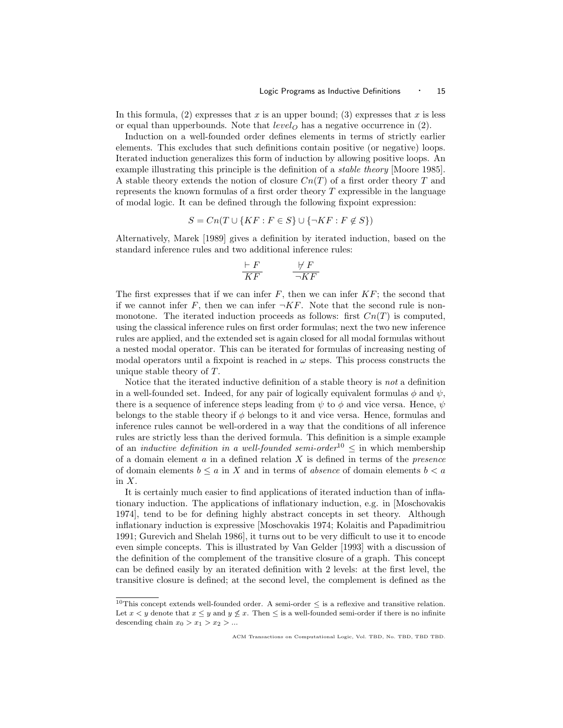In this formula, (2) expresses that x is an upper bound; (3) expresses that x is less or equal than upperbounds. Note that  $level<sub>O</sub>$  has a negative occurrence in (2).

Induction on a well-founded order defines elements in terms of strictly earlier elements. This excludes that such definitions contain positive (or negative) loops. Iterated induction generalizes this form of induction by allowing positive loops. An example illustrating this principle is the definition of a *stable theory* [Moore 1985]. A stable theory extends the notion of closure  $Cn(T)$  of a first order theory T and represents the known formulas of a first order theory  $T$  expressible in the language of modal logic. It can be defined through the following fixpoint expression:

$$
S = Cn(T \cup \{KF : F \in S\} \cup \{\neg KF : F \notin S\})
$$

Alternatively, Marek [1989] gives a definition by iterated induction, based on the standard inference rules and two additional inference rules:

$$
\frac{\vdash F}{KF} \qquad \frac{\not\vdash F}{\neg K F}
$$

The first expresses that if we can infer  $F$ , then we can infer  $KF$ ; the second that if we cannot infer F, then we can infer  $\neg K$ . Note that the second rule is nonmonotone. The iterated induction proceeds as follows: first  $Cn(T)$  is computed, using the classical inference rules on first order formulas; next the two new inference rules are applied, and the extended set is again closed for all modal formulas without a nested modal operator. This can be iterated for formulas of increasing nesting of modal operators until a fixpoint is reached in  $\omega$  steps. This process constructs the unique stable theory of T.

Notice that the iterated inductive definition of a stable theory is not a definition in a well-founded set. Indeed, for any pair of logically equivalent formulas  $\phi$  and  $\psi$ , there is a sequence of inference steps leading from  $\psi$  to  $\phi$  and vice versa. Hence,  $\psi$ belongs to the stable theory if  $\phi$  belongs to it and vice versa. Hence, formulas and inference rules cannot be well-ordered in a way that the conditions of all inference rules are strictly less than the derived formula. This definition is a simple example of an *inductive definition in a well-founded semi-order*<sup>10</sup>  $\leq$  in which membership of a domain element  $a$  in a defined relation  $X$  is defined in terms of the *presence* of domain elements  $b \le a$  in X and in terms of *absence* of domain elements  $b < a$ in  $X$ .

It is certainly much easier to find applications of iterated induction than of inflationary induction. The applications of inflationary induction, e.g. in [Moschovakis 1974], tend to be for defining highly abstract concepts in set theory. Although inflationary induction is expressive [Moschovakis 1974; Kolaitis and Papadimitriou 1991; Gurevich and Shelah 1986], it turns out to be very difficult to use it to encode even simple concepts. This is illustrated by Van Gelder [1993] with a discussion of the definition of the complement of the transitive closure of a graph. This concept can be defined easily by an iterated definition with 2 levels: at the first level, the transitive closure is defined; at the second level, the complement is defined as the

 $^{10}\mathrm{This}$  concept extends well-founded order. A semi-order  $\leq$  is a reflexive and transitive relation. Let  $x < y$  denote that  $x \leq y$  and  $y \not\leq x$ . Then  $\leq$  is a well-founded semi-order if there is no infinite descending chain  $x_0 > x_1 > x_2 > ...$ 

ACM Transactions on Computational Logic, Vol. TBD, No. TBD, TBD TBD.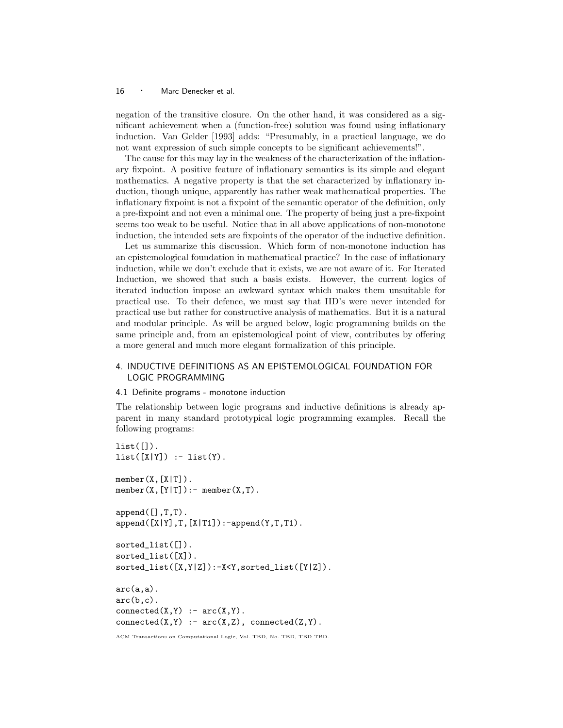negation of the transitive closure. On the other hand, it was considered as a significant achievement when a (function-free) solution was found using inflationary induction. Van Gelder [1993] adds: "Presumably, in a practical language, we do not want expression of such simple concepts to be significant achievements!".

The cause for this may lay in the weakness of the characterization of the inflationary fixpoint. A positive feature of inflationary semantics is its simple and elegant mathematics. A negative property is that the set characterized by inflationary induction, though unique, apparently has rather weak mathematical properties. The inflationary fixpoint is not a fixpoint of the semantic operator of the definition, only a pre-fixpoint and not even a minimal one. The property of being just a pre-fixpoint seems too weak to be useful. Notice that in all above applications of non-monotone induction, the intended sets are fixpoints of the operator of the inductive definition.

Let us summarize this discussion. Which form of non-monotone induction has an epistemological foundation in mathematical practice? In the case of inflationary induction, while we don't exclude that it exists, we are not aware of it. For Iterated Induction, we showed that such a basis exists. However, the current logics of iterated induction impose an awkward syntax which makes them unsuitable for practical use. To their defence, we must say that IID's were never intended for practical use but rather for constructive analysis of mathematics. But it is a natural and modular principle. As will be argued below, logic programming builds on the same principle and, from an epistemological point of view, contributes by offering a more general and much more elegant formalization of this principle.

# 4. INDUCTIVE DEFINITIONS AS AN EPISTEMOLOGICAL FOUNDATION FOR LOGIC PROGRAMMING

## 4.1 Definite programs - monotone induction

The relationship between logic programs and inductive definitions is already apparent in many standard prototypical logic programming examples. Recall the following programs:

```
list([]).
list([X|Y]) :- list(Y).
member(X, [X|T]).
member(X, [Y|T]):- member(X, T).append([],T,T).
append([X|Y],T,[X|T1]):-append(Y,T,T1).
sorted_list([]).
sorted_list([X]).
sorted\_list([X,Y|Z]):-X<Y,sorted\_list([Y|Z]).arc(a,a).
arc(b,c).
connected(X, Y) :- arc(X, Y).
connected(X, Y) :- arc(X, Z), connected(Z, Y).
```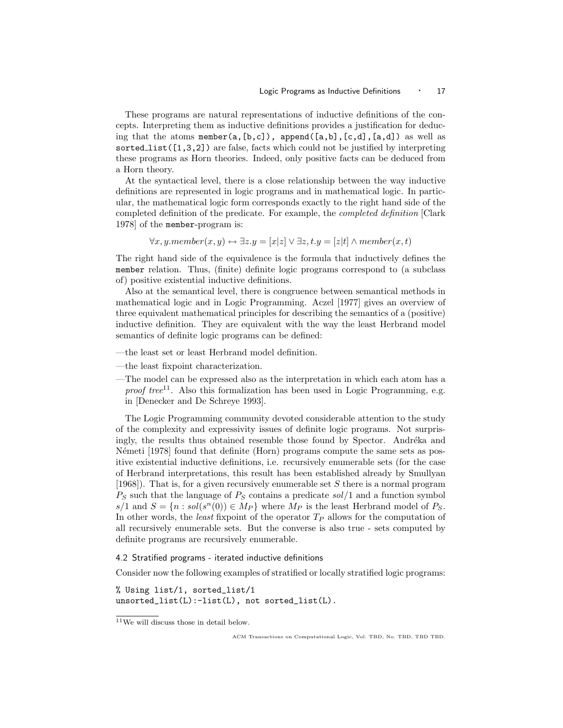These programs are natural representations of inductive definitions of the concepts. Interpreting them as inductive definitions provides a justification for deducing that the atoms member(a, $[b, c]$ ), append( $[a, b]$ , $[c, d]$ , $[a, d]$ ) as well as sorted list( $[1,3,2]$ ) are false, facts which could not be justified by interpreting these programs as Horn theories. Indeed, only positive facts can be deduced from a Horn theory.

At the syntactical level, there is a close relationship between the way inductive definitions are represented in logic programs and in mathematical logic. In particular, the mathematical logic form corresponds exactly to the right hand side of the completed definition of the predicate. For example, the completed definition [Clark 1978] of the member-program is:

$$
\forall x, y. member(x, y) \leftrightarrow \exists z. y = [x|z] \lor \exists z, t. y = [z|t] \land member(x, t)
$$

The right hand side of the equivalence is the formula that inductively defines the member relation. Thus, (finite) definite logic programs correspond to (a subclass of) positive existential inductive definitions.

Also at the semantical level, there is congruence between semantical methods in mathematical logic and in Logic Programming. Aczel [1977] gives an overview of three equivalent mathematical principles for describing the semantics of a (positive) inductive definition. They are equivalent with the way the least Herbrand model semantics of definite logic programs can be defined:

- —the least set or least Herbrand model definition.
- —the least fixpoint characterization.
- —The model can be expressed also as the interpretation in which each atom has a *proof tree*<sup>11</sup>. Also this formalization has been used in Logic Programming, e.g. in [Denecker and De Schreye 1993].

The Logic Programming community devoted considerable attention to the study of the complexity and expressivity issues of definite logic programs. Not surprisingly, the results thus obtained resemble those found by Spector. Andréka and Németi [1978] found that definite (Horn) programs compute the same sets as positive existential inductive definitions, i.e. recursively enumerable sets (for the case of Herbrand interpretations, this result has been established already by Smullyan [1968]). That is, for a given recursively enumerable set S there is a normal program  $P_S$  such that the language of  $P_S$  contains a predicate  $sol/1$  and a function symbol  $s/1$  and  $S = \{n : sol(s^n(0)) \in M_P\}$  where  $M_P$  is the least Herbrand model of  $P_S$ . In other words, the *least* fixpoint of the operator  $T_P$  allows for the computation of all recursively enumerable sets. But the converse is also true - sets computed by definite programs are recursively enumerable.

## 4.2 Stratified programs - iterated inductive definitions

Consider now the following examples of stratified or locally stratified logic programs:

% Using list/1, sorted\_list/1 unsorted\_list(L):-list(L), not sorted\_list(L).

<sup>11</sup>We will discuss those in detail below.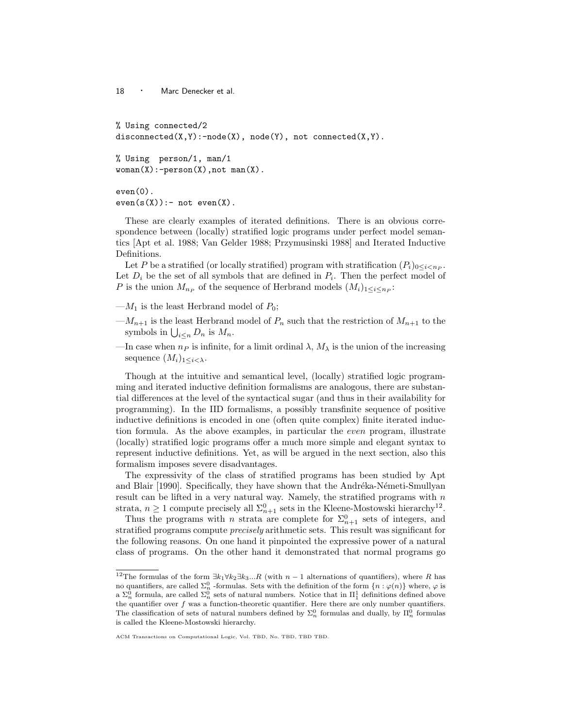% Using connected/2 disconnected( $X, Y$ ):-node( $X$ ), node( $Y$ ), not connected( $X, Y$ ).

% Using person/1, man/1  $woman(X):-person(X)$ , not man $(X)$ .

even(0).  $even(s(X)):-$  not  $even(X)$ .

These are clearly examples of iterated definitions. There is an obvious correspondence between (locally) stratified logic programs under perfect model semantics [Apt et al. 1988; Van Gelder 1988; Przymusinski 1988] and Iterated Inductive Definitions.

Let P be a stratified (or locally stratified) program with stratification  $(P_i)_{0 \leq i \leq n_P}$ . Let  $D_i$  be the set of all symbols that are defined in  $P_i$ . Then the perfect model of P is the union  $M_{n_P}$  of the sequence of Herbrand models  $(M_i)_{1 \leq i \leq n_P}$ :

- $-M_1$  is the least Herbrand model of  $P_0$ ;
- $-M_{n+1}$  is the least Herbrand model of  $P_n$  such that the restriction of  $M_{n+1}$  to the symbols in  $\bigcup_{i\leq n} D_n$  is  $M_n$ .
- —In case when  $n_P$  is infinite, for a limit ordinal  $\lambda$ ,  $M_{\lambda}$  is the union of the increasing sequence  $(M_i)_{1 \leq i \leq \lambda}$ .

Though at the intuitive and semantical level, (locally) stratified logic programming and iterated inductive definition formalisms are analogous, there are substantial differences at the level of the syntactical sugar (and thus in their availability for programming). In the IID formalisms, a possibly transfinite sequence of positive inductive definitions is encoded in one (often quite complex) finite iterated induction formula. As the above examples, in particular the even program, illustrate (locally) stratified logic programs offer a much more simple and elegant syntax to represent inductive definitions. Yet, as will be argued in the next section, also this formalism imposes severe disadvantages.

The expressivity of the class of stratified programs has been studied by Apt and Blair [1990]. Specifically, they have shown that the Andréka-Németi-Smullyan result can be lifted in a very natural way. Namely, the stratified programs with  $n$ strata,  $n \geq 1$  compute precisely all  $\Sigma_{n+1}^0$  sets in the Kleene-Mostowski hierarchy<sup>12</sup>.

Thus the programs with n strata are complete for  $\Sigma_{n+1}^0$  sets of integers, and stratified programs compute *precisely* arithmetic sets. This result was significant for the following reasons. On one hand it pinpointed the expressive power of a natural class of programs. On the other hand it demonstrated that normal programs go

<sup>&</sup>lt;sup>12</sup>The formulas of the form  $\exists k_1 \forall k_2 \exists k_3...R$  (with  $n-1$  alternations of quantifiers), where R has no quantifiers, are called  $\Sigma_n^0$  -formulas. Sets with the definition of the form  $\{n : \varphi(n)\}$  where,  $\varphi$  is a  $\Sigma_n^0$  formula, are called  $\Sigma_n^0$  sets of natural numbers. Notice that in  $\Pi_1^1$  definitions defined above the quantifier over  $f$  was a function-theoretic quantifier. Here there are only number quantifiers. The classification of sets of natural numbers defined by  $\Sigma_n^0$  formulas and dually, by  $\Pi_n^0$  formulas is called the Kleene-Mostowski hierarchy.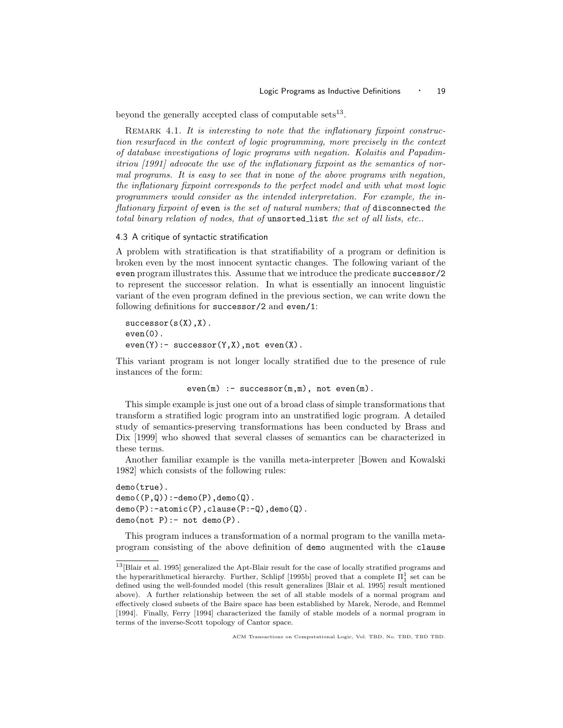beyond the generally accepted class of computable sets<sup>13</sup>.

REMARK 4.1. It is interesting to note that the inflationary fixpoint construction resurfaced in the context of logic programming, more precisely in the context of database investigations of logic programs with negation. Kolaitis and Papadimitriou [1991] advocate the use of the inflationary fixpoint as the semantics of normal programs. It is easy to see that in none of the above programs with negation, the inflationary fixpoint corresponds to the perfect model and with what most logic programmers would consider as the intended interpretation. For example, the inflationary fixpoint of even is the set of natural numbers; that of disconnected the total binary relation of nodes, that of unsorted list the set of all lists, etc..

## 4.3 A critique of syntactic stratification

A problem with stratification is that stratifiability of a program or definition is broken even by the most innocent syntactic changes. The following variant of the even program illustrates this. Assume that we introduce the predicate successor/2 to represent the successor relation. In what is essentially an innocent linguistic variant of the even program defined in the previous section, we can write down the following definitions for successor/2 and even/1:

```
successor(s(X),X).
even(0).
even(Y): successor(Y,X), not even(X).
```
This variant program is not longer locally stratified due to the presence of rule instances of the form:

```
even(m) :- successor(m,m), not even(m).
```
This simple example is just one out of a broad class of simple transformations that transform a stratified logic program into an unstratified logic program. A detailed study of semantics-preserving transformations has been conducted by Brass and Dix [1999] who showed that several classes of semantics can be characterized in these terms.

Another familiar example is the vanilla meta-interpreter [Bowen and Kowalski 1982] which consists of the following rules:

```
demo(true).
demo((P,Q)):-demo(P),demo(Q).demo(P):-atomic(P),clause(P:-Q),demo(Q).
demo(not P) :- not demo(P).
```
This program induces a transformation of a normal program to the vanilla metaprogram consisting of the above definition of demo augmented with the clause

 $^{13}[\mathrm{Blair}$  et al. 1995] generalized the Apt-Blair result for the case of locally stratified programs and the hyperarithmetical hierarchy. Further, Schlipf [1995b] proved that a complete  $\Pi_1^1$  set can be defined using the well-founded model (this result generalizes [Blair et al. 1995] result mentioned above). A further relationship between the set of all stable models of a normal program and effectively closed subsets of the Baire space has been established by Marek, Nerode, and Remmel [1994]. Finally, Ferry [1994] characterized the family of stable models of a normal program in terms of the inverse-Scott topology of Cantor space.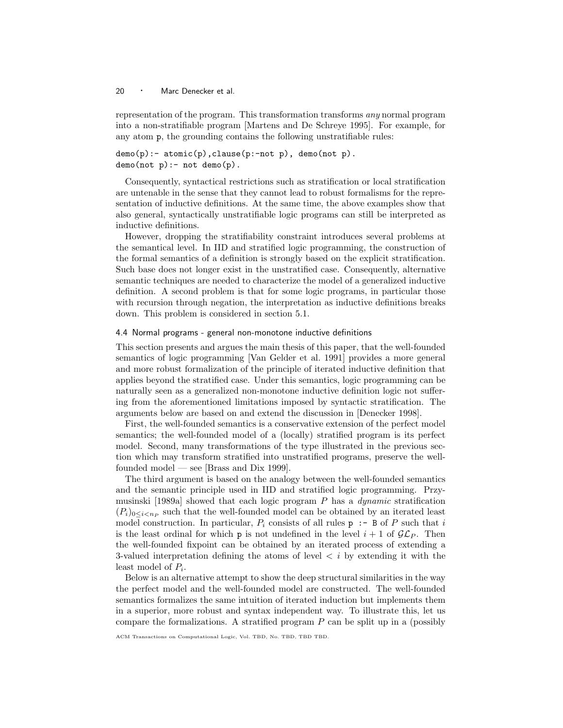representation of the program. This transformation transforms any normal program into a non-stratifiable program [Martens and De Schreye 1995]. For example, for any atom p, the grounding contains the following unstratifiable rules:

 $demo(p):$   $atomic(p), clause(p:-not p), demo(not p).$  $demo(not p) :- not demo(p)$ .

Consequently, syntactical restrictions such as stratification or local stratification are untenable in the sense that they cannot lead to robust formalisms for the representation of inductive definitions. At the same time, the above examples show that also general, syntactically unstratifiable logic programs can still be interpreted as inductive definitions.

However, dropping the stratifiability constraint introduces several problems at the semantical level. In IID and stratified logic programming, the construction of the formal semantics of a definition is strongly based on the explicit stratification. Such base does not longer exist in the unstratified case. Consequently, alternative semantic techniques are needed to characterize the model of a generalized inductive definition. A second problem is that for some logic programs, in particular those with recursion through negation, the interpretation as inductive definitions breaks down. This problem is considered in section 5.1.

## 4.4 Normal programs - general non-monotone inductive definitions

This section presents and argues the main thesis of this paper, that the well-founded semantics of logic programming [Van Gelder et al. 1991] provides a more general and more robust formalization of the principle of iterated inductive definition that applies beyond the stratified case. Under this semantics, logic programming can be naturally seen as a generalized non-monotone inductive definition logic not suffering from the aforementioned limitations imposed by syntactic stratification. The arguments below are based on and extend the discussion in [Denecker 1998].

First, the well-founded semantics is a conservative extension of the perfect model semantics; the well-founded model of a (locally) stratified program is its perfect model. Second, many transformations of the type illustrated in the previous section which may transform stratified into unstratified programs, preserve the wellfounded model — see [Brass and Dix 1999].

The third argument is based on the analogy between the well-founded semantics and the semantic principle used in IID and stratified logic programming. Przymusinski [1989a] showed that each logic program  $P$  has a *dynamic* stratification  $(P_i)_{0 \leq i \leq n_P}$  such that the well-founded model can be obtained by an iterated least model construction. In particular,  $P_i$  consists of all rules  $p : -B$  of P such that i is the least ordinal for which **p** is not undefined in the level  $i + 1$  of  $\mathcal{GL}_P$ . Then the well-founded fixpoint can be obtained by an iterated process of extending a 3-valued interpretation defining the atoms of level  $\langle i \rangle$  by extending it with the least model of  $P_i$ .

Below is an alternative attempt to show the deep structural similarities in the way the perfect model and the well-founded model are constructed. The well-founded semantics formalizes the same intuition of iterated induction but implements them in a superior, more robust and syntax independent way. To illustrate this, let us compare the formalizations. A stratified program  $P$  can be split up in a (possibly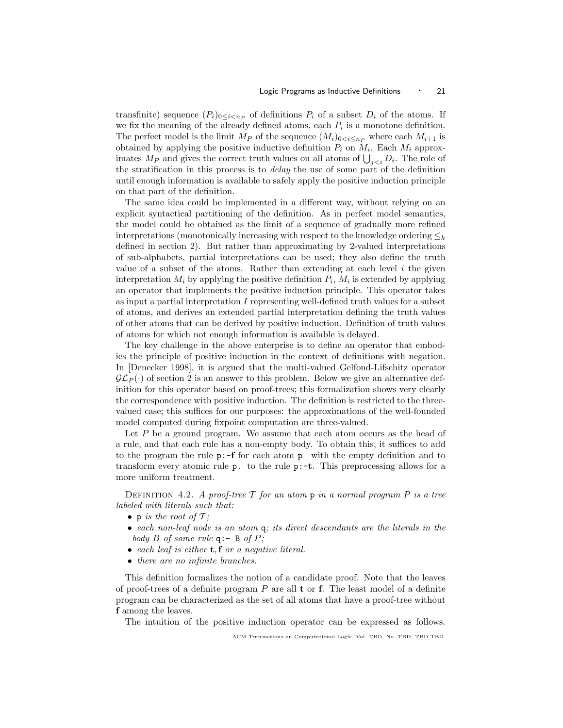transfinite) sequence  $(P_i)_{0 \leq i \leq n_P}$  of definitions  $P_i$  of a subset  $D_i$  of the atoms. If we fix the meaning of the already defined atoms, each  $P_i$  is a monotone definition. The perfect model is the limit  $M_P$  of the sequence  $(M_i)_{0 \le i \le n_P}$  where each  $M_{i+1}$  is obtained by applying the positive inductive definition  $P_i$  on  $M_i$ . Each  $M_i$  approximates  $M_P$  and gives the correct truth values on all atoms of  $\bigcup_{j. The role of$ the stratification in this process is to *delay* the use of some part of the definition until enough information is available to safely apply the positive induction principle on that part of the definition.

The same idea could be implemented in a different way, without relying on an explicit syntactical partitioning of the definition. As in perfect model semantics, the model could be obtained as the limit of a sequence of gradually more refined interpretations (monotonically increasing with respect to the knowledge ordering  $\leq_k$ defined in section 2). But rather than approximating by 2-valued interpretations of sub-alphabets, partial interpretations can be used; they also define the truth value of a subset of the atoms. Rather than extending at each level  $i$  the given interpretation  $M_i$  by applying the positive definition  $P_i$ ,  $M_i$  is extended by applying an operator that implements the positive induction principle. This operator takes as input a partial interpretation I representing well-defined truth values for a subset of atoms, and derives an extended partial interpretation defining the truth values of other atoms that can be derived by positive induction. Definition of truth values of atoms for which not enough information is available is delayed.

The key challenge in the above enterprise is to define an operator that embodies the principle of positive induction in the context of definitions with negation. In [Denecker 1998], it is argued that the multi-valued Gelfond-Lifschitz operator  $\mathcal{GL}_P(\cdot)$  of section 2 is an answer to this problem. Below we give an alternative definition for this operator based on proof-trees; this formalization shows very clearly the correspondence with positive induction. The definition is restricted to the threevalued case; this suffices for our purposes: the approximations of the well-founded model computed during fixpoint computation are three-valued.

Let  $P$  be a ground program. We assume that each atom occurs as the head of a rule, and that each rule has a non-empty body. To obtain this, it suffices to add to the program the rule  $p:-f$  for each atom p with the empty definition and to transform every atomic rule p. to the rule p:-t. This preprocessing allows for a more uniform treatment.

DEFINITION 4.2. A proof-tree  $\mathcal T$  for an atom  $p$  in a normal program  $P$  is a tree labeled with literals such that:

- p is the root of  $\mathcal{T}$ ;
- each non-leaf node is an atom q; its direct descendants are the literals in the body B of some rule  $q:$  - B of P;
- each leaf is either  $t, f$  or a negative literal.
- there are no infinite branches.

This definition formalizes the notion of a candidate proof. Note that the leaves of proof-trees of a definite program  $P$  are all  $t$  or  $f$ . The least model of a definite program can be characterized as the set of all atoms that have a proof-tree without f among the leaves.

The intuition of the positive induction operator can be expressed as follows.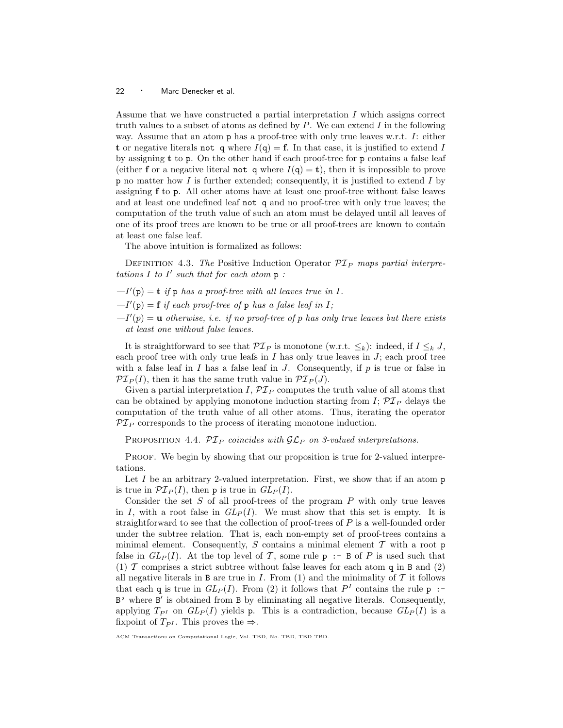Assume that we have constructed a partial interpretation I which assigns correct truth values to a subset of atoms as defined by  $P$ . We can extend  $I$  in the following way. Assume that an atom  $p$  has a proof-tree with only true leaves w.r.t.  $I:$  either t or negative literals not q where  $I(q) = \mathbf{f}$ . In that case, it is justified to extend I by assigning t to p. On the other hand if each proof-tree for p contains a false leaf (either f or a negative literal not q where  $I(q) = t$ ), then it is impossible to prove  $p$  no matter how I is further extended; consequently, it is justified to extend I by assigning f to p. All other atoms have at least one proof-tree without false leaves and at least one undefined leaf not q and no proof-tree with only true leaves; the computation of the truth value of such an atom must be delayed until all leaves of one of its proof trees are known to be true or all proof-trees are known to contain at least one false leaf.

The above intuition is formalized as follows:

DEFINITION 4.3. The Positive Induction Operator  $\mathcal{PI}_P$  maps partial interpretations  $I$  to  $I'$  such that for each atom  $p$ :

- $-I'(p) = t$  if p has a proof-tree with all leaves true in I.
- $-I'(p) = f$  if each proof-tree of p has a false leaf in I;
- $-I'(p) = u$  otherwise, i.e. if no proof-tree of p has only true leaves but there exists at least one without false leaves.

It is straightforward to see that  $\mathcal{PI}_P$  is monotone (w.r.t.  $\leq_k$ ): indeed, if  $I \leq_k J$ , each proof tree with only true leafs in  $I$  has only true leaves in  $J$ ; each proof tree with a false leaf in I has a false leaf in J. Consequently, if  $p$  is true or false in  $\mathcal{PI}_P(I)$ , then it has the same truth value in  $\mathcal{PI}_P(J)$ .

Given a partial interpretation I,  $\mathcal{PI}_P$  computes the truth value of all atoms that can be obtained by applying monotone induction starting from  $I$ ;  $\mathcal{PI}_P$  delays the computation of the truth value of all other atoms. Thus, iterating the operator  $\mathcal{PI}_P$  corresponds to the process of iterating monotone induction.

PROPOSITION 4.4.  $\mathcal{PI}_P$  coincides with  $\mathcal{GL}_P$  on 3-valued interpretations.

PROOF. We begin by showing that our proposition is true for 2-valued interpretations.

Let  $I$  be an arbitrary 2-valued interpretation. First, we show that if an atom  $p$ is true in  $\mathcal{PI}_P(I)$ , then p is true in  $GL_P(I)$ .

Consider the set  $S$  of all proof-trees of the program  $P$  with only true leaves in I, with a root false in  $GL_P(I)$ . We must show that this set is empty. It is straightforward to see that the collection of proof-trees of  $P$  is a well-founded order under the subtree relation. That is, each non-empty set of proof-trees contains a minimal element. Consequently, S contains a minimal element  $\mathcal T$  with a root p false in  $GL_P(I)$ . At the top level of T, some rule  $p : B$  of P is used such that (1)  $\mathcal T$  comprises a strict subtree without false leaves for each atom q in B and (2) all negative literals in B are true in  $I$ . From (1) and the minimality of  $T$  it follows that each q is true in  $GL_P(I)$ . From (2) it follows that  $P<sup>I</sup>$  contains the rule p :-B' where B' is obtained from B by eliminating all negative literals. Consequently, applying  $T_{P^I}$  on  $GL_P(I)$  yields p. This is a contradiction, because  $GL_P(I)$  is a fixpoint of  $T_{P^I}$ . This proves the  $\Rightarrow$ .

ACM Transactions on Computational Logic, Vol. TBD, No. TBD, TBD TBD.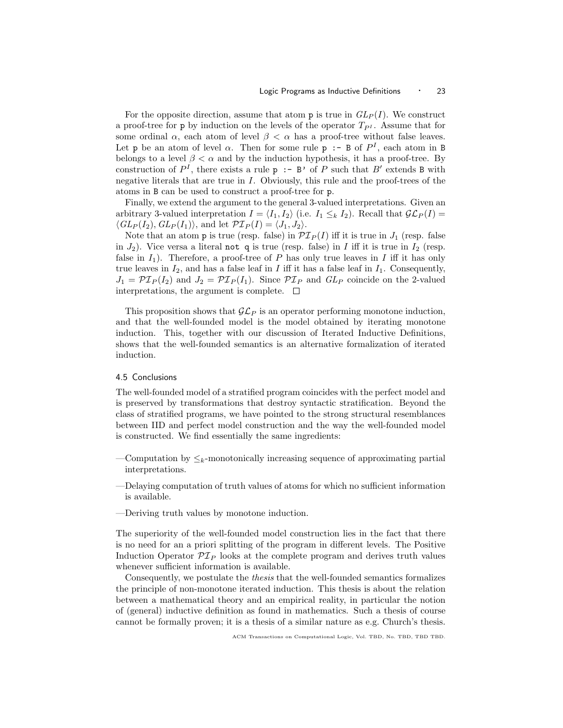For the opposite direction, assume that atom **p** is true in  $GL_P(I)$ . We construct a proof-tree for p by induction on the levels of the operator  $T_{PI}$ . Assume that for some ordinal  $\alpha$ , each atom of level  $\beta < \alpha$  has a proof-tree without false leaves. Let p be an atom of level  $\alpha$ . Then for some rule p :- B of  $P^I$ , each atom in B belongs to a level  $\beta < \alpha$  and by the induction hypothesis, it has a proof-tree. By construction of  $P^I$ , there exists a rule  $p : B'$  of P such that B' extends B with negative literals that are true in I. Obviously, this rule and the proof-trees of the atoms in B can be used to construct a proof-tree for p.

Finally, we extend the argument to the general 3-valued interpretations. Given an arbitrary 3-valued interpretation  $I = \langle I_1, I_2 \rangle$  (i.e.  $I_1 \leq_k I_2$ ). Recall that  $\mathcal{GL}_P(I) =$  $\langle GL_P(I_2), GL_P(I_1) \rangle$ , and let  $\mathcal{PI}_P(I) = \langle J_1,J_2 \rangle$ .

Note that an atom p is true (resp. false) in  $\mathcal{PI}_P(I)$  iff it is true in  $J_1$  (resp. false in  $J_2$ ). Vice versa a literal not q is true (resp. false) in I iff it is true in  $I_2$  (resp. false in  $I_1$ ). Therefore, a proof-tree of P has only true leaves in I iff it has only true leaves in  $I_2$ , and has a false leaf in I iff it has a false leaf in  $I_1$ . Consequently,  $J_1 = \mathcal{PI}_P(I_2)$  and  $J_2 = \mathcal{PI}_P(I_1)$ . Since  $\mathcal{PI}_P$  and  $GL_P$  coincide on the 2-valued interpretations, the argument is complete.  $\Box$ 

This proposition shows that  $\mathcal{GL}_P$  is an operator performing monotone induction, and that the well-founded model is the model obtained by iterating monotone induction. This, together with our discussion of Iterated Inductive Definitions, shows that the well-founded semantics is an alternative formalization of iterated induction.

## 4.5 Conclusions

The well-founded model of a stratified program coincides with the perfect model and is preserved by transformations that destroy syntactic stratification. Beyond the class of stratified programs, we have pointed to the strong structural resemblances between IID and perfect model construction and the way the well-founded model is constructed. We find essentially the same ingredients:

- —Computation by  $\leq_k$ -monotonically increasing sequence of approximating partial interpretations.
- —Delaying computation of truth values of atoms for which no sufficient information is available.
- —Deriving truth values by monotone induction.

The superiority of the well-founded model construction lies in the fact that there is no need for an a priori splitting of the program in different levels. The Positive Induction Operator  $\mathcal{PI}_P$  looks at the complete program and derives truth values whenever sufficient information is available.

Consequently, we postulate the thesis that the well-founded semantics formalizes the principle of non-monotone iterated induction. This thesis is about the relation between a mathematical theory and an empirical reality, in particular the notion of (general) inductive definition as found in mathematics. Such a thesis of course cannot be formally proven; it is a thesis of a similar nature as e.g. Church's thesis.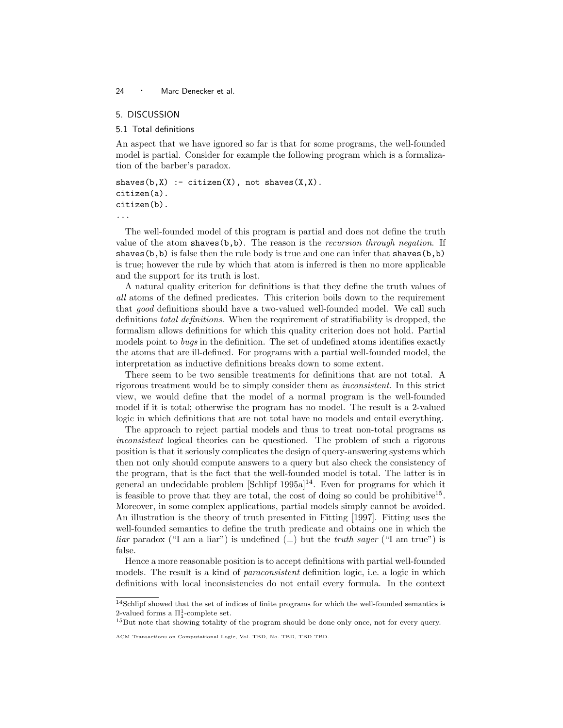## 5. DISCUSSION

#### 5.1 Total definitions

An aspect that we have ignored so far is that for some programs, the well-founded model is partial. Consider for example the following program which is a formalization of the barber's paradox.

```
shaves(b,X) :- citizen(X), not shaves(X,X).
citizen(a).
citizen(b).
```
...

The well-founded model of this program is partial and does not define the truth value of the atom shaves $(b,b)$ . The reason is the *recursion through negation*. If shaves $(b, b)$  is false then the rule body is true and one can infer that shaves $(b, b)$ is true; however the rule by which that atom is inferred is then no more applicable and the support for its truth is lost.

A natural quality criterion for definitions is that they define the truth values of all atoms of the defined predicates. This criterion boils down to the requirement that good definitions should have a two-valued well-founded model. We call such definitions total definitions. When the requirement of stratifiability is dropped, the formalism allows definitions for which this quality criterion does not hold. Partial models point to bugs in the definition. The set of undefined atoms identifies exactly the atoms that are ill-defined. For programs with a partial well-founded model, the interpretation as inductive definitions breaks down to some extent.

There seem to be two sensible treatments for definitions that are not total. A rigorous treatment would be to simply consider them as inconsistent. In this strict view, we would define that the model of a normal program is the well-founded model if it is total; otherwise the program has no model. The result is a 2-valued logic in which definitions that are not total have no models and entail everything.

The approach to reject partial models and thus to treat non-total programs as inconsistent logical theories can be questioned. The problem of such a rigorous position is that it seriously complicates the design of query-answering systems which then not only should compute answers to a query but also check the consistency of the program, that is the fact that the well-founded model is total. The latter is in general an undecidable problem  $\left[\text{Schlipf } 1995a\right]^{14}$ . Even for programs for which it is feasible to prove that they are total, the cost of doing so could be prohibitive<sup>15</sup>. Moreover, in some complex applications, partial models simply cannot be avoided. An illustration is the theory of truth presented in Fitting [1997]. Fitting uses the well-founded semantics to define the truth predicate and obtains one in which the *liar* paradox ("I am a liar") is undefined  $(\perp)$  but the *truth sayer* ("I am true") is false.

Hence a more reasonable position is to accept definitions with partial well-founded models. The result is a kind of *paraconsistent* definition logic, i.e. a logic in which definitions with local inconsistencies do not entail every formula. In the context

 $^{14}\rm{Schlipf}$  showed that the set of indices of finite programs for which the well-founded semantics is 2-valued forms a  $\Pi_1^1$ -complete set.

<sup>&</sup>lt;sup>15</sup>But note that showing totality of the program should be done only once, not for every query.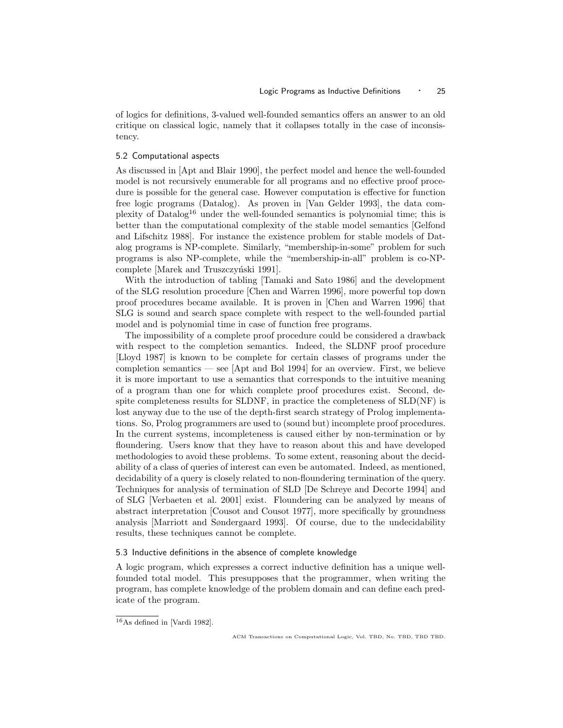of logics for definitions, 3-valued well-founded semantics offers an answer to an old critique on classical logic, namely that it collapses totally in the case of inconsistency.

## 5.2 Computational aspects

As discussed in [Apt and Blair 1990], the perfect model and hence the well-founded model is not recursively enumerable for all programs and no effective proof procedure is possible for the general case. However computation is effective for function free logic programs (Datalog). As proven in [Van Gelder 1993], the data complexity of Datalog<sup>16</sup> under the well-founded semantics is polynomial time; this is better than the computational complexity of the stable model semantics [Gelfond and Lifschitz 1988]. For instance the existence problem for stable models of Datalog programs is NP-complete. Similarly, "membership-in-some" problem for such programs is also NP-complete, while the "membership-in-all" problem is co-NPcomplete [Marek and Truszczyński 1991].

With the introduction of tabling [Tamaki and Sato 1986] and the development of the SLG resolution procedure [Chen and Warren 1996], more powerful top down proof procedures became available. It is proven in [Chen and Warren 1996] that SLG is sound and search space complete with respect to the well-founded partial model and is polynomial time in case of function free programs.

The impossibility of a complete proof procedure could be considered a drawback with respect to the completion semantics. Indeed, the SLDNF proof procedure [Lloyd 1987] is known to be complete for certain classes of programs under the completion semantics — see [Apt and Bol 1994] for an overview. First, we believe it is more important to use a semantics that corresponds to the intuitive meaning of a program than one for which complete proof procedures exist. Second, despite completeness results for SLDNF, in practice the completeness of SLD(NF) is lost anyway due to the use of the depth-first search strategy of Prolog implementations. So, Prolog programmers are used to (sound but) incomplete proof procedures. In the current systems, incompleteness is caused either by non-termination or by floundering. Users know that they have to reason about this and have developed methodologies to avoid these problems. To some extent, reasoning about the decidability of a class of queries of interest can even be automated. Indeed, as mentioned, decidability of a query is closely related to non-floundering termination of the query. Techniques for analysis of termination of SLD [De Schreye and Decorte 1994] and of SLG [Verbaeten et al. 2001] exist. Floundering can be analyzed by means of abstract interpretation [Cousot and Cousot 1977], more specifically by groundness analysis [Marriott and Søndergaard 1993]. Of course, due to the undecidability results, these techniques cannot be complete.

## 5.3 Inductive definitions in the absence of complete knowledge

A logic program, which expresses a correct inductive definition has a unique wellfounded total model. This presupposes that the programmer, when writing the program, has complete knowledge of the problem domain and can define each predicate of the program.

<sup>16</sup>As defined in [Vardi 1982].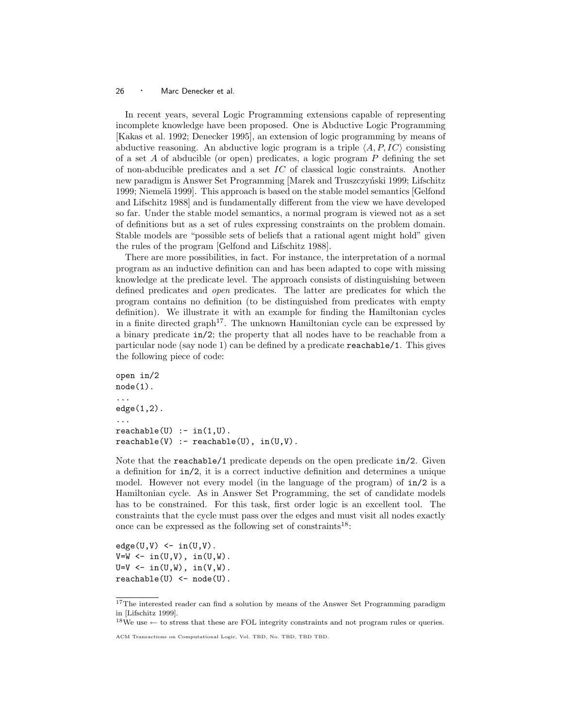In recent years, several Logic Programming extensions capable of representing incomplete knowledge have been proposed. One is Abductive Logic Programming [Kakas et al. 1992; Denecker 1995], an extension of logic programming by means of abductive reasoning. An abductive logic program is a triple  $\langle A, P, IC \rangle$  consisting of a set  $A$  of abducible (or open) predicates, a logic program  $P$  defining the set of non-abducible predicates and a set  $IC$  of classical logic constraints. Another new paradigm is Answer Set Programming [Marek and Truszczyński 1999; Lifschitz 1999; Niemelä 1999. This approach is based on the stable model semantics [Gelfond] and Lifschitz 1988] and is fundamentally different from the view we have developed so far. Under the stable model semantics, a normal program is viewed not as a set of definitions but as a set of rules expressing constraints on the problem domain. Stable models are "possible sets of beliefs that a rational agent might hold" given the rules of the program [Gelfond and Lifschitz 1988].

There are more possibilities, in fact. For instance, the interpretation of a normal program as an inductive definition can and has been adapted to cope with missing knowledge at the predicate level. The approach consists of distinguishing between defined predicates and open predicates. The latter are predicates for which the program contains no definition (to be distinguished from predicates with empty definition). We illustrate it with an example for finding the Hamiltonian cycles in a finite directed graph<sup>17</sup>. The unknown Hamiltonian cycle can be expressed by a binary predicate in/2; the property that all nodes have to be reachable from a particular node (say node 1) can be defined by a predicate reachable/1. This gives the following piece of code:

```
open in/2
node(1).
...
edge(1,2).
...
reachable(U) :- in(1,U).
reachable(V) :- reachable(U), in(U,V).
```
Note that the reachable/1 predicate depends on the open predicate in/2. Given a definition for in/2, it is a correct inductive definition and determines a unique model. However not every model (in the language of the program) of in/2 is a Hamiltonian cycle. As in Answer Set Programming, the set of candidate models has to be constrained. For this task, first order logic is an excellent tool. The constraints that the cycle must pass over the edges and must visit all nodes exactly once can be expressed as the following set of constraints<sup>18</sup>:

 $edge(U,V)$  <- in(U,V).  $V=W \leftarrow in(U,V), in(U,W).$  $U=V \leftarrow in(U,W), in(V,W).$  $reachable(U) < - node(U)$ .

 $18\text{We use} \leftarrow$  to stress that these are FOL integrity constraints and not program rules or queries.

<sup>&</sup>lt;sup>17</sup>The interested reader can find a solution by means of the Answer Set Programming paradigm in [Lifschitz 1999].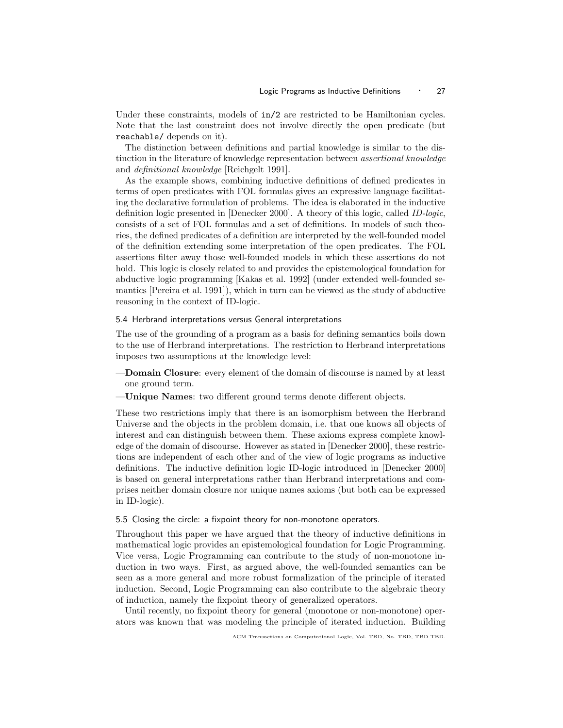Under these constraints, models of  $in/2$  are restricted to be Hamiltonian cycles. Note that the last constraint does not involve directly the open predicate (but reachable/ depends on it).

The distinction between definitions and partial knowledge is similar to the distinction in the literature of knowledge representation between assertional knowledge and definitional knowledge [Reichgelt 1991].

As the example shows, combining inductive definitions of defined predicates in terms of open predicates with FOL formulas gives an expressive language facilitating the declarative formulation of problems. The idea is elaborated in the inductive definition logic presented in [Denecker 2000]. A theory of this logic, called ID-logic, consists of a set of FOL formulas and a set of definitions. In models of such theories, the defined predicates of a definition are interpreted by the well-founded model of the definition extending some interpretation of the open predicates. The FOL assertions filter away those well-founded models in which these assertions do not hold. This logic is closely related to and provides the epistemological foundation for abductive logic programming [Kakas et al. 1992] (under extended well-founded semantics [Pereira et al. 1991]), which in turn can be viewed as the study of abductive reasoning in the context of ID-logic.

## 5.4 Herbrand interpretations versus General interpretations

The use of the grounding of a program as a basis for defining semantics boils down to the use of Herbrand interpretations. The restriction to Herbrand interpretations imposes two assumptions at the knowledge level:

- —Domain Closure: every element of the domain of discourse is named by at least one ground term.
- —Unique Names: two different ground terms denote different objects.

These two restrictions imply that there is an isomorphism between the Herbrand Universe and the objects in the problem domain, i.e. that one knows all objects of interest and can distinguish between them. These axioms express complete knowledge of the domain of discourse. However as stated in [Denecker 2000], these restrictions are independent of each other and of the view of logic programs as inductive definitions. The inductive definition logic ID-logic introduced in [Denecker 2000] is based on general interpretations rather than Herbrand interpretations and comprises neither domain closure nor unique names axioms (but both can be expressed in ID-logic).

## 5.5 Closing the circle: a fixpoint theory for non-monotone operators.

Throughout this paper we have argued that the theory of inductive definitions in mathematical logic provides an epistemological foundation for Logic Programming. Vice versa, Logic Programming can contribute to the study of non-monotone induction in two ways. First, as argued above, the well-founded semantics can be seen as a more general and more robust formalization of the principle of iterated induction. Second, Logic Programming can also contribute to the algebraic theory of induction, namely the fixpoint theory of generalized operators.

Until recently, no fixpoint theory for general (monotone or non-monotone) operators was known that was modeling the principle of iterated induction. Building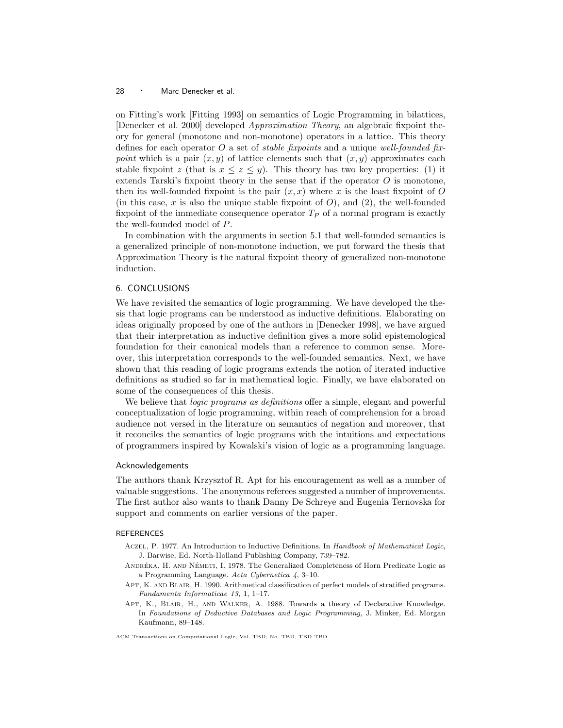on Fitting's work [Fitting 1993] on semantics of Logic Programming in bilattices, [Denecker et al. 2000] developed Approximation Theory, an algebraic fixpoint theory for general (monotone and non-monotone) operators in a lattice. This theory defines for each operator O a set of *stable fixpoints* and a unique well-founded fixpoint which is a pair  $(x, y)$  of lattice elements such that  $(x, y)$  approximates each stable fixpoint z (that is  $x \leq z \leq y$ ). This theory has two key properties: (1) it extends Tarski's fixpoint theory in the sense that if the operator  $O$  is monotone, then its well-founded fixpoint is the pair  $(x, x)$  where x is the least fixpoint of O (in this case,  $x$  is also the unique stable fixpoint of  $O$ ), and  $(2)$ , the well-founded fixpoint of the immediate consequence operator  $T_P$  of a normal program is exactly the well-founded model of P.

In combination with the arguments in section 5.1 that well-founded semantics is a generalized principle of non-monotone induction, we put forward the thesis that Approximation Theory is the natural fixpoint theory of generalized non-monotone induction.

## 6. CONCLUSIONS

We have revisited the semantics of logic programming. We have developed the thesis that logic programs can be understood as inductive definitions. Elaborating on ideas originally proposed by one of the authors in [Denecker 1998], we have argued that their interpretation as inductive definition gives a more solid epistemological foundation for their canonical models than a reference to common sense. Moreover, this interpretation corresponds to the well-founded semantics. Next, we have shown that this reading of logic programs extends the notion of iterated inductive definitions as studied so far in mathematical logic. Finally, we have elaborated on some of the consequences of this thesis.

We believe that *logic programs as definitions* offer a simple, elegant and powerful conceptualization of logic programming, within reach of comprehension for a broad audience not versed in the literature on semantics of negation and moreover, that it reconciles the semantics of logic programs with the intuitions and expectations of programmers inspired by Kowalski's vision of logic as a programming language.

## Acknowledgements

The authors thank Krzysztof R. Apt for his encouragement as well as a number of valuable suggestions. The anonymous referees suggested a number of improvements. The first author also wants to thank Danny De Schreye and Eugenia Ternovska for support and comments on earlier versions of the paper.

#### REFERENCES

- Aczel, P. 1977. An Introduction to Inductive Definitions. In Handbook of Mathematical Logic, J. Barwise, Ed. North-Holland Publishing Company, 739–782.
- ANDRÉKA, H. AND NÉMETI, I. 1978. The Generalized Completeness of Horn Predicate Logic as a Programming Language. Acta Cybernetica 4, 3–10.
- APT, K. AND BLAIR, H. 1990. Arithmetical classification of perfect models of stratified programs. Fundamenta Informaticae 13, 1, 1–17.
- Apt, K., Blair, H., and Walker, A. 1988. Towards a theory of Declarative Knowledge. In Foundations of Deductive Databases and Logic Programming, J. Minker, Ed. Morgan Kaufmann, 89–148.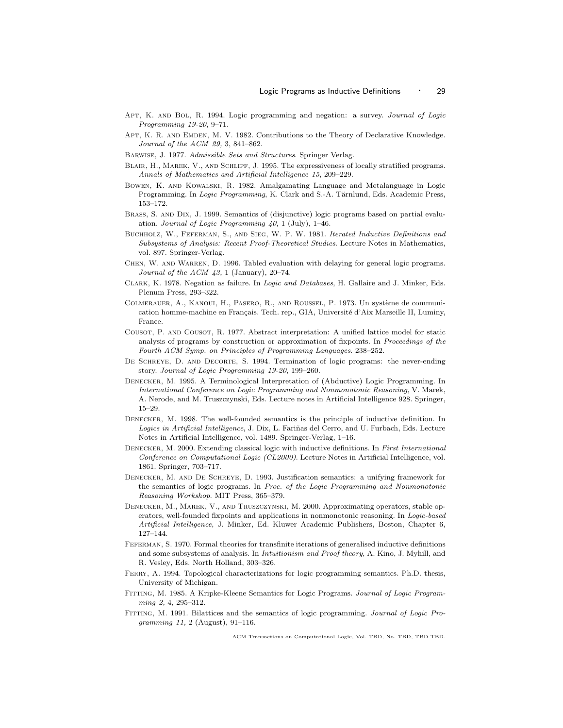- Apt, K. and Bol, R. 1994. Logic programming and negation: a survey. Journal of Logic Programming 19-20, 9–71.
- Apt, K. R. and Emden, M. V. 1982. Contributions to the Theory of Declarative Knowledge. Journal of the ACM 29, 3, 841–862.
- Barwise, J. 1977. Admissible Sets and Structures. Springer Verlag.
- Blair, H., Marek, V., and Schlipf, J. 1995. The expressiveness of locally stratified programs. Annals of Mathematics and Artificial Intelligence 15, 209–229.
- Bowen, K. and Kowalski, R. 1982. Amalgamating Language and Metalanguage in Logic Programming. In Logic Programming, K. Clark and S.-A. Tärnlund, Eds. Academic Press, 153–172.
- Brass, S. and Dix, J. 1999. Semantics of (disjunctive) logic programs based on partial evaluation. Journal of Logic Programming 40, 1 (July), 1–46.
- Buchholz, W., Feferman, S., and Sieg, W. P. W. 1981. Iterated Inductive Definitions and Subsystems of Analysis: Recent Proof-Theoretical Studies. Lecture Notes in Mathematics, vol. 897. Springer-Verlag.
- CHEN, W. AND WARREN, D. 1996. Tabled evaluation with delaying for general logic programs. Journal of the ACM 43, 1 (January), 20–74.
- Clark, K. 1978. Negation as failure. In Logic and Databases, H. Gallaire and J. Minker, Eds. Plenum Press, 293–322.
- COLMERAUER, A., KANOUI, H., PASERO, R., AND ROUSSEL, P. 1973. Un système de communication homme-machine en Français. Tech. rep., GIA, Université d'Aix Marseille II, Luminy, France.
- Cousot, P. and Cousot, R. 1977. Abstract interpretation: A unified lattice model for static analysis of programs by construction or approximation of fixpoints. In Proceedings of the Fourth ACM Symp. on Principles of Programming Languages. 238–252.
- DE SCHREYE, D. AND DECORTE, S. 1994. Termination of logic programs: the never-ending story. Journal of Logic Programming 19-20, 199–260.
- Denecker, M. 1995. A Terminological Interpretation of (Abductive) Logic Programming. In International Conference on Logic Programming and Nonmonotonic Reasoning, V. Marek, A. Nerode, and M. Truszczynski, Eds. Lecture notes in Artificial Intelligence 928. Springer, 15–29.
- Denecker, M. 1998. The well-founded semantics is the principle of inductive definition. In Logics in Artificial Intelligence, J. Dix, L. Fariñas del Cerro, and U. Furbach, Eds. Lecture Notes in Artificial Intelligence, vol. 1489. Springer-Verlag, 1–16.
- DENECKER, M. 2000. Extending classical logic with inductive definitions. In First International Conference on Computational Logic (CL2000). Lecture Notes in Artificial Intelligence, vol. 1861. Springer, 703–717.
- Denecker, M. and De Schreye, D. 1993. Justification semantics: a unifying framework for the semantics of logic programs. In Proc. of the Logic Programming and Nonmonotonic Reasoning Workshop. MIT Press, 365–379.
- Denecker, M., Marek, V., and Truszczynski, M. 2000. Approximating operators, stable operators, well-founded fixpoints and applications in nonmonotonic reasoning. In Logic-based Artificial Intelligence, J. Minker, Ed. Kluwer Academic Publishers, Boston, Chapter 6, 127–144.
- Feferman, S. 1970. Formal theories for transfinite iterations of generalised inductive definitions and some subsystems of analysis. In Intuitionism and Proof theory, A. Kino, J. Myhill, and R. Vesley, Eds. North Holland, 303–326.
- Ferry, A. 1994. Topological characterizations for logic programming semantics. Ph.D. thesis, University of Michigan.
- Fitting, M. 1985. A Kripke-Kleene Semantics for Logic Programs. Journal of Logic Programming 2, 4, 295–312.
- FITTING, M. 1991. Bilattices and the semantics of logic programming. Journal of Logic Programming 11, 2 (August), 91–116.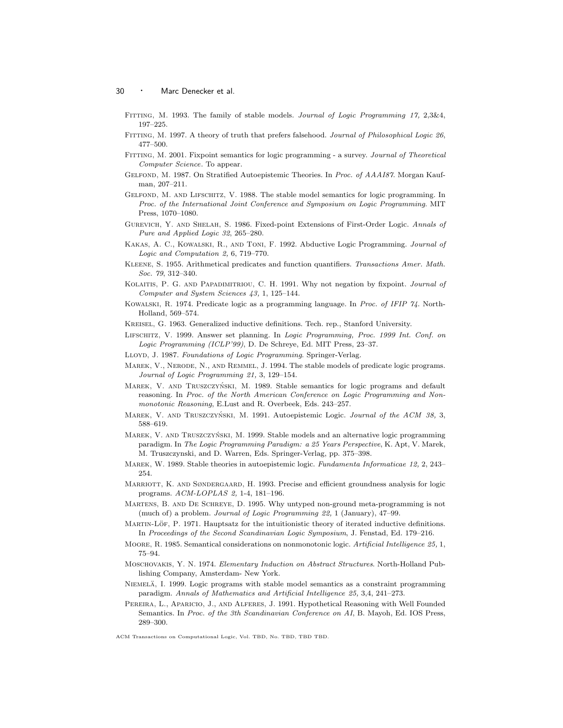- Fitting, M. 1993. The family of stable models. Journal of Logic Programming 17, 2,3&4, 197–225.
- Fitting, M. 1997. A theory of truth that prefers falsehood. Journal of Philosophical Logic 26, 477–500.
- Fitting, M. 2001. Fixpoint semantics for logic programming a survey. Journal of Theoretical Computer Science. To appear.
- Gelfond, M. 1987. On Stratified Autoepistemic Theories. In Proc. of AAAI87. Morgan Kaufman, 207–211.
- Gelfond, M. and Lifschitz, V. 1988. The stable model semantics for logic programming. In Proc. of the International Joint Conference and Symposium on Logic Programming. MIT Press, 1070–1080.
- Gurevich, Y. and Shelah, S. 1986. Fixed-point Extensions of First-Order Logic. Annals of Pure and Applied Logic 32, 265–280.
- Kakas, A. C., Kowalski, R., and Toni, F. 1992. Abductive Logic Programming. Journal of Logic and Computation 2, 6, 719–770.
- Kleene, S. 1955. Arithmetical predicates and function quantifiers. Transactions Amer. Math. Soc. 79, 312–340.
- Kolaitis, P. G. and Papadimitriou, C. H. 1991. Why not negation by fixpoint. Journal of Computer and System Sciences 43, 1, 125–144.
- Kowalski, R. 1974. Predicate logic as a programming language. In Proc. of IFIP 74. North-Holland, 569–574.
- Kreisel, G. 1963. Generalized inductive definitions. Tech. rep., Stanford University.
- Lifschitz, V. 1999. Answer set planning. In Logic Programming, Proc. 1999 Int. Conf. on Logic Programming (ICLP'99), D. De Schreye, Ed. MIT Press, 23–37.
- LLOYD, J. 1987. Foundations of Logic Programming. Springer-Verlag.
- MAREK, V., NERODE, N., AND REMMEL, J. 1994. The stable models of predicate logic programs. Journal of Logic Programming 21, 3, 129–154.
- MAREK, V. AND TRUSZCZYŃSKI, M. 1989. Stable semantics for logic programs and default reasoning. In Proc. of the North American Conference on Logic Programming and Nonmonotonic Reasoning, E.Lust and R. Overbeek, Eds. 243–257.
- MAREK, V. AND TRUSZCZYŃSKI, M. 1991. Autoepistemic Logic. Journal of the ACM 38, 3, 588–619.
- MAREK, V. AND TRUSZCZYŃSKI, M. 1999. Stable models and an alternative logic programming paradigm. In The Logic Programming Paradigm: a 25 Years Perspective, K. Apt, V. Marek, M. Truszczynski, and D. Warren, Eds. Springer-Verlag, pp. 375–398.
- MAREK, W. 1989. Stable theories in autoepistemic logic. Fundamenta Informaticae 12, 2, 243– 254.
- MARRIOTT, K. AND SØNDERGAARD, H. 1993. Precise and efficient groundness analysis for logic programs. ACM-LOPLAS 2, 1-4, 181–196.
- Martens, B. and De Schreye, D. 1995. Why untyped non-ground meta-programming is not (much of) a problem. Journal of Logic Programming 22, 1 (January), 47–99.
- MARTIN-LÖF, P. 1971. Hauptsatz for the intuitionistic theory of iterated inductive definitions. In Proceedings of the Second Scandinavian Logic Symposium, J. Fenstad, Ed. 179–216.
- Moore, R. 1985. Semantical considerations on nonmonotonic logic. Artificial Intelligence 25, 1, 75–94.
- Moschovakis, Y. N. 1974. Elementary Induction on Abstract Structures. North-Holland Publishing Company, Amsterdam- New York.
- NIEMELÄ, I. 1999. Logic programs with stable model semantics as a constraint programming paradigm. Annals of Mathematics and Artificial Intelligence 25, 3,4, 241–273.
- PEREIRA, L., APARICIO, J., AND ALFERES, J. 1991. Hypothetical Reasoning with Well Founded Semantics. In Proc. of the 3th Scandinavian Conference on AI, B. Mayoh, Ed. IOS Press, 289–300.